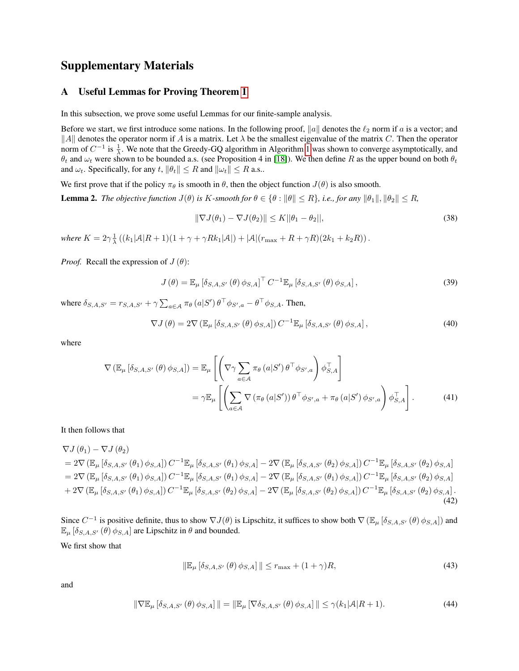# Supplementary Materials

### <span id="page-0-3"></span>A Useful Lemmas for Proving Theorem 1

In this subsection, we prove some useful Lemmas for our finite-sample analysis.

Before we start, we first introduce some nations. In the following proof, ||a|| denotes the  $\ell_2$  norm if a is a vector; and ||A|| denotes the operator norm if A is a matrix. Let  $\lambda$  be the smallest eigenvalue of the matrix C. Then the operator norm of  $C^{-1}$  is  $\frac{1}{\lambda}$ . We note that the Greedy-GQ algorithm in Algorithm 1 was shown to converge asymptotically, and  $\theta_t$  and  $\omega_t$  were shown to be bounded a.s. (see Proposition 4 in [18]). We then define R as the upper bound on both  $\theta_t$ and  $\omega_t$ . Specifically, for any t,  $\|\theta_t\| \leq R$  and  $\|\omega_t\| \leq R$  a.s..

We first prove that if the policy  $\pi_{\theta}$  is smooth in  $\theta$ , then the object function  $J(\theta)$  is also smooth.

<span id="page-0-1"></span>**Lemma 2.** *The objective function*  $J(\theta)$  *is K*-*smooth for*  $\theta \in {\theta : ||\theta|| \leq R}$ *, i.e., for any*  $||\theta_1||$ *,*  $||\theta_2|| \leq R$ *,* 

$$
\|\nabla J(\theta_1) - \nabla J(\theta_2)\| \le K \|\theta_1 - \theta_2\|,\tag{38}
$$

*where*  $K = 2\gamma \frac{1}{\lambda} \left( (k_1 |A| R + 1)(1 + \gamma + \gamma R k_1 |A|) + |A| (r_{\max} + R + \gamma R)(2k_1 + k_2 R) \right)$ .

*Proof.* Recall the expression of  $J(\theta)$ :

$$
J(\theta) = \mathbb{E}_{\mu} \left[ \delta_{S,A,S'}(\theta) \phi_{S,A} \right]^{\top} C^{-1} \mathbb{E}_{\mu} \left[ \delta_{S,A,S'}(\theta) \phi_{S,A} \right], \tag{39}
$$

where  $\delta_{S, A, S'} = r_{S, A, S'} + \gamma \sum_{a \in A} \pi_{\theta} (a|S') \theta^{\top} \phi_{S', a} - \theta^{\top} \phi_{S, A}$ . Then,

<span id="page-0-0"></span>
$$
\nabla J(\theta) = 2\nabla \left( \mathbb{E}_{\mu} \left[ \delta_{S,A,S'}(\theta) \phi_{S,A} \right] \right) C^{-1} \mathbb{E}_{\mu} \left[ \delta_{S,A,S'}(\theta) \phi_{S,A} \right], \tag{40}
$$

where

$$
\nabla (\mathbb{E}_{\mu} [\delta_{S,A,S'}(\theta) \phi_{S,A}]) = \mathbb{E}_{\mu} \left[ \left( \nabla \gamma \sum_{a \in A} \pi_{\theta}(a|S') \theta^{\top} \phi_{S',a} \right) \phi_{S,A}^{\top} \right]
$$
  

$$
= \gamma \mathbb{E}_{\mu} \left[ \left( \sum_{a \in A} \nabla (\pi_{\theta}(a|S')) \theta^{\top} \phi_{S',a} + \pi_{\theta}(a|S') \phi_{S',a} \right) \phi_{S,A}^{\top} \right].
$$
 (41)

It then follows that

$$
\nabla J(\theta_{1}) - \nabla J(\theta_{2}) \n= 2\nabla (\mathbb{E}_{\mu} [\delta_{S,A,S'}(\theta_{1}) \phi_{S,A}] ) C^{-1} \mathbb{E}_{\mu} [\delta_{S,A,S'}(\theta_{1}) \phi_{S,A}] - 2\nabla (\mathbb{E}_{\mu} [\delta_{S,A,S'}(\theta_{2}) \phi_{S,A}] ) C^{-1} \mathbb{E}_{\mu} [\delta_{S,A,S'}(\theta_{2}) \phi_{S,A}] \n= 2\nabla (\mathbb{E}_{\mu} [\delta_{S,A,S'}(\theta_{1}) \phi_{S,A}] ) C^{-1} \mathbb{E}_{\mu} [\delta_{S,A,S'}(\theta_{1}) \phi_{S,A}] - 2\nabla (\mathbb{E}_{\mu} [\delta_{S,A,S'}(\theta_{1}) \phi_{S,A}] ) C^{-1} \mathbb{E}_{\mu} [\delta_{S,A,S'}(\theta_{2}) \phi_{S,A}] \n+ 2\nabla (\mathbb{E}_{\mu} [\delta_{S,A,S'}(\theta_{1}) \phi_{S,A}] ) C^{-1} \mathbb{E}_{\mu} [\delta_{S,A,S'}(\theta_{2}) \phi_{S,A}] - 2\nabla (\mathbb{E}_{\mu} [\delta_{S,A,S'}(\theta_{2}) \phi_{S,A}] ) C^{-1} \mathbb{E}_{\mu} [\delta_{S,A,S'}(\theta_{2}) \phi_{S,A}].
$$
\n(42)

Since  $C^{-1}$  is positive definite, thus to show  $\nabla J(\theta)$  is Lipschitz, it suffices to show both  $\nabla (\mathbb{E}_{\mu} [\delta_{S,A,S'}(\theta)\phi_{S,A}])$  and  $\mathbb{E}_{\mu} [\delta_{S,A,S'} (\theta) \phi_{S,A}]$  are Lipschitz in  $\theta$  and bounded.

We first show that

<span id="page-0-2"></span>
$$
\|\mathbb{E}_{\mu}\left[\delta_{S,A,S'}\left(\theta\right)\phi_{S,A}\right]\|\leq r_{\max}+(1+\gamma)R,\tag{43}
$$

and

$$
\|\nabla \mathbb{E}_{\mu} \left[ \delta_{S,A,S'}\left(\theta\right) \phi_{S,A} \right] \| = \|\mathbb{E}_{\mu} \left[ \nabla \delta_{S,A,S'}\left(\theta\right) \phi_{S,A} \right] \| \leq \gamma (k_1|\mathcal{A}|R+1). \tag{44}
$$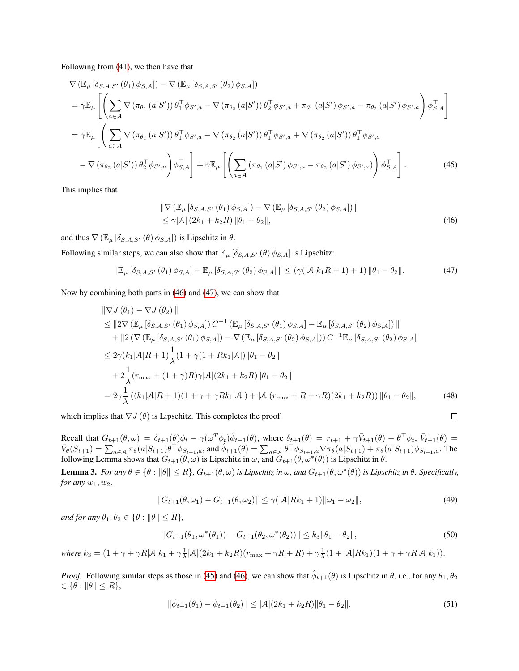Following from [\(41\)](#page-0-0), we then have that

$$
\nabla (\mathbb{E}_{\mu} [\delta_{S,A,S'}(\theta_{1}) \phi_{S,A}]) - \nabla (\mathbb{E}_{\mu} [\delta_{S,A,S'}(\theta_{2}) \phi_{S,A}])
$$
\n
$$
= \gamma \mathbb{E}_{\mu} \left[ \left( \sum_{a \in A} \nabla (\pi_{\theta_{1}} (a|S')) \theta_{1}^{\top} \phi_{S',a} - \nabla (\pi_{\theta_{2}} (a|S')) \theta_{2}^{\top} \phi_{S',a} + \pi_{\theta_{1}} (a|S') \phi_{S',a} - \pi_{\theta_{2}} (a|S') \phi_{S',a} \right) \phi_{S,A}^{\top} \right]
$$
\n
$$
= \gamma \mathbb{E}_{\mu} \left[ \left( \sum_{a \in A} \nabla (\pi_{\theta_{1}} (a|S')) \theta_{1}^{\top} \phi_{S',a} - \nabla (\pi_{\theta_{2}} (a|S')) \theta_{1}^{\top} \phi_{S',a} + \nabla (\pi_{\theta_{2}} (a|S')) \theta_{1}^{\top} \phi_{S',a} - \nabla (\pi_{\theta_{2}} (a|S')) \theta_{1}^{\top} \phi_{S',a} - \nabla (\pi_{\theta_{2}} (a|S')) \theta_{1}^{\top} \phi_{S',a} - \pi_{\theta_{2}} (a|S') \phi_{S',a} \right) \phi_{S,A}^{\top} \right].
$$
\n(45)

This implies that

$$
\|\nabla \left( \mathbb{E}_{\mu} \left[ \delta_{S,A,S'}\left(\theta_{1}\right) \phi_{S,A} \right] \right) - \nabla \left( \mathbb{E}_{\mu} \left[ \delta_{S,A,S'}\left(\theta_{2}\right) \phi_{S,A} \right] \right) \| \leq \gamma |\mathcal{A}| \left( 2k_{1} + k_{2} R \right) \|\theta_{1} - \theta_{2} \|,
$$
\n(46)

and thus  $\nabla$  ( $\mathbb{E}_{\mu}$  [ $\delta_{S,A,S'}$  ( $\theta$ )  $\phi_{S,A}$ ]) is Lipschitz in  $\theta$ .

Following similar steps, we can also show that  $\mathbb{E}_{\mu} [\delta_{S,A,S'}(\theta) \phi_{S,A}]$  is Lipschitz:

$$
\|\mathbb{E}_{\mu}\left[\delta_{S,A,S'}\left(\theta_{1}\right)\phi_{S,A}\right] - \mathbb{E}_{\mu}\left[\delta_{S,A,S'}\left(\theta_{2}\right)\phi_{S,A}\right]\| \leq \left(\gamma(|A|k_{1}R+1)+1\right)\|\theta_{1}-\theta_{2}\|.\tag{47}
$$

Now by combining both parts in [\(46\)](#page-1-0) and [\(47\)](#page-1-1), we can show that

$$
\|\nabla J(\theta_{1}) - \nabla J(\theta_{2})\| \n\leq \|2\nabla (\mathbb{E}_{\mu} [\delta_{S,A,S'}(\theta_{1}) \phi_{S,A}]) C^{-1} (\mathbb{E}_{\mu} [\delta_{S,A,S'}(\theta_{1}) \phi_{S,A}] - \mathbb{E}_{\mu} [\delta_{S,A,S'}(\theta_{2}) \phi_{S,A}]) \| \n+ \|2 (\nabla (\mathbb{E}_{\mu} [\delta_{S,A,S'}(\theta_{1}) \phi_{S,A}]) - \nabla (\mathbb{E}_{\mu} [\delta_{S,A,S'}(\theta_{2}) \phi_{S,A}])) C^{-1} \mathbb{E}_{\mu} [\delta_{S,A,S'}(\theta_{2}) \phi_{S,A}] \n\leq 2\gamma (k_{1}|\mathcal{A}|R+1) \frac{1}{\lambda} (1 + \gamma (1 + Rk_{1}|\mathcal{A}|) \|\theta_{1} - \theta_{2}\| \n+ 2\frac{1}{\lambda} (r_{\max} + (1 + \gamma)R)\gamma |\mathcal{A}| (2k_{1} + k_{2}R) \|\theta_{1} - \theta_{2}\| \n= 2\gamma \frac{1}{\lambda} ((k_{1}|\mathcal{A}|R+1)(1 + \gamma + \gamma Rk_{1}|\mathcal{A}|) + |\mathcal{A}| (r_{\max} + R + \gamma R)(2k_{1} + k_{2}R)) \|\theta_{1} - \theta_{2}\|,
$$
\n(48)

which implies that  $\nabla J(\theta)$  is Lipschitz. This completes the proof.

Recall that  $G_{t+1}(\theta,\omega) = \delta_{t+1}(\theta)\phi_t - \gamma(\omega^T\phi_t)\hat{\phi}_{t+1}(\theta)$ , where  $\delta_{t+1}(\theta) = r_{t+1} + \gamma \bar{V}_{t+1}(\theta) - \theta^{\top}\phi_t$ ,  $\bar{V}_{t+1}(\theta) =$  $\bar{V}_{\theta}(S_{t+1}) = \sum_{a \in \mathcal{A}} \pi_{\theta}(a|S_{t+1}) \theta^{\top} \phi_{S_{t+1},a}$ , and  $\hat{\phi}_{t+1}(\theta) = \sum_{a \in \mathcal{A}} \theta^{\top} \phi_{S_{t+1},a} \nabla \pi_{\theta}(a|S_{t+1}) + \pi_{\theta}(a|S_{t+1}) \phi_{S_{t+1},a}$ . The following Lemma shows that  $G_{t+1}(\theta,\omega)$  is Lipschitz in  $\omega$ , and  $G_{t+1}(\theta,\omega^*(\theta))$  is Lipschitz in  $\theta$ .

<span id="page-1-3"></span>**Lemma 3.** For any  $\theta \in \{\theta : ||\theta|| \leq R\}$ ,  $G_{t+1}(\theta,\omega)$  is Lipschitz in  $\omega$ , and  $G_{t+1}(\theta,\omega^*(\theta))$  is Lipschitz in  $\theta$ . Specifically, *for any*  $w_1$ ,  $w_2$ ,

$$
||G_{t+1}(\theta,\omega_1) - G_{t+1}(\theta,\omega_2)|| \le \gamma (|\mathcal{A}|Rk_1 + 1||\omega_1 - \omega_2||, \tag{49}
$$

<span id="page-1-2"></span><span id="page-1-1"></span><span id="page-1-0"></span> $\Box$ 

*and for any*  $\theta_1, \theta_2 \in {\theta : ||\theta|| \leq R}$ *,* 

$$
||G_{t+1}(\theta_1, \omega^*(\theta_1)) - G_{t+1}(\theta_2, \omega^*(\theta_2))|| \le k_3 ||\theta_1 - \theta_2||,
$$
\n(50)

 $where k_3 = (1 + \gamma + \gamma R |A| k_1 + \gamma \frac{1}{\lambda} |A| (2k_1 + k_2 R)(r_{\max} + \gamma R + R) + \gamma \frac{1}{\lambda} (1 + |A| R k_1)(1 + \gamma + \gamma R |A| k_1)).$ 

*Proof.* Following similar steps as those in [\(45\)](#page-1-2) and [\(46\)](#page-1-0), we can show that  $\hat{\phi}_{t+1}(\theta)$  is Lipschitz in  $\theta$ , i.e., for any  $\theta_1, \theta_2$  $\in \{\theta : ||\theta|| \leq R\},\$ 

$$
\|\hat{\phi}_{t+1}(\theta_1) - \hat{\phi}_{t+1}(\theta_2)\| \le |\mathcal{A}|(2k_1 + k_2 R)\|\theta_1 - \theta_2\|.
$$
\n(51)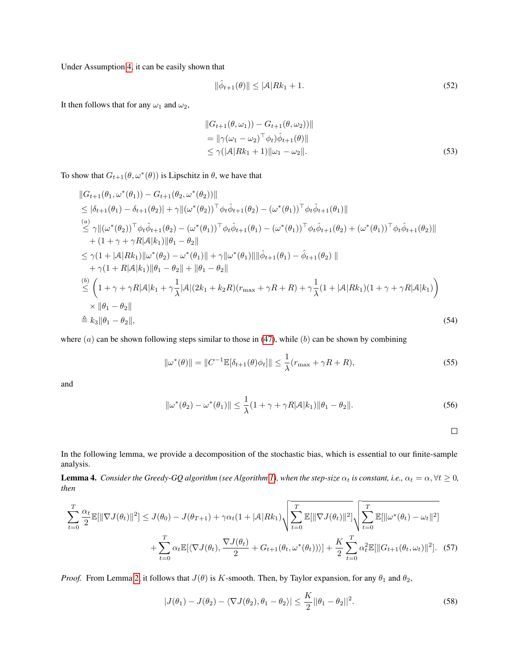Under Assumption 4, it can be easily shown that

<span id="page-2-0"></span>
$$
\|\hat{\phi}_{t+1}(\theta)\| \le |\mathcal{A}|Rk_1 + 1. \tag{52}
$$

It then follows that for any  $\omega_1$  and  $\omega_2$ ,

$$
||G_{t+1}(\theta, \omega_1)) - G_{t+1}(\theta, \omega_2)||
$$
  
=  $||\gamma(\omega_1 - \omega_2)^{\top} \phi_t) \hat{\phi}_{t+1}(\theta)||$   
 $\leq \gamma (|\mathcal{A}| R k_1 + 1) ||\omega_1 - \omega_2||.$  (53)

To show that  $G_{t+1}(\theta, \omega^*(\theta))$  is Lipschitz in  $\theta$ , we have that

$$
||G_{t+1}(\theta_1, \omega^*(\theta_1)) - G_{t+1}(\theta_2, \omega^*(\theta_2))||
$$
  
\n
$$
\leq |\delta_{t+1}(\theta_1) - \delta_{t+1}(\theta_2)| + \gamma ||(\omega^*(\theta_2))^\top \phi_t \hat{\phi}_{t+1}(\theta_2) - (\omega^*(\theta_1))^\top \phi_t \hat{\phi}_{t+1}(\theta_1)||
$$
  
\n
$$
\leq \gamma ||(\omega^*(\theta_2))^\top \phi_t \hat{\phi}_{t+1}(\theta_2) - (\omega^*(\theta_1))^\top \phi_t \hat{\phi}_{t+1}(\theta_1) - (\omega^*(\theta_1))^\top \phi_t \hat{\phi}_{t+1}(\theta_2) + (\omega^*(\theta_1))^\top \phi_t \hat{\phi}_{t+1}(\theta_2)||
$$
  
\n
$$
+ (1 + \gamma + \gamma R |\mathcal{A}|k_1) ||\theta_1 - \theta_2||
$$
  
\n
$$
\leq \gamma (1 + |\mathcal{A}|Rk_1) ||\omega^*(\theta_2) - \omega^*(\theta_1)|| + \gamma ||\omega^*(\theta_1)|| ||\hat{\phi}_{t+1}(\theta_1) - \hat{\phi}_{t+1}(\theta_2)||
$$
  
\n
$$
+ \gamma (1 + R |\mathcal{A}|k_1) ||\theta_1 - \theta_2|| + ||\theta_1 - \theta_2||
$$
  
\n
$$
\stackrel{(b)}{\leq} \left(1 + \gamma + \gamma R |\mathcal{A}|k_1 + \gamma \frac{1}{\lambda} |\mathcal{A}| (2k_1 + k_2 R)(r_{\text{max}} + \gamma R + R) + \gamma \frac{1}{\lambda} (1 + |\mathcal{A}|Rk_1)(1 + \gamma + \gamma R |\mathcal{A}|k_1) \right)
$$
  
\n
$$
\times ||\theta_1 - \theta_2||
$$
  
\n
$$
\triangleq k_3 ||\theta_1 - \theta_2||,
$$
  
\n(54)

where  $(a)$  can be shown following steps similar to those in [\(47\)](#page-1-1), while  $(b)$  can be shown by combining

$$
\|\omega^*(\theta)\| = \|C^{-1}\mathbb{E}[\delta_{t+1}(\theta)\phi_t]\| \le \frac{1}{\lambda}(r_{\max} + \gamma R + R),
$$
\n(55)

and

$$
\|\omega^*(\theta_2) - \omega^*(\theta_1)\| \le \frac{1}{\lambda}(1 + \gamma + \gamma R|\mathcal{A}|k_1)\|\theta_1 - \theta_2\|.
$$
\n(56)

<span id="page-2-1"></span>

In the following lemma, we provide a decomposition of the stochastic bias, which is essential to our finite-sample analysis.

**Lemma 4.** *Consider the Greedy-GQ algorithm (see Algorithm 1), when the step-size*  $\alpha_t$  *is constant, i.e.,*  $\alpha_t = \alpha$ ,  $\forall t \ge 0$ *, then*

$$
\sum_{t=0}^{T} \frac{\alpha_{t}}{2} \mathbb{E}[\|\nabla J(\theta_{t})\|^{2}] \leq J(\theta_{0}) - J(\theta_{T+1}) + \gamma \alpha_{t} (1 + |\mathcal{A}| R k_{1}) \sqrt{\sum_{t=0}^{T} \mathbb{E}[\|\nabla J(\theta_{t})\|^{2}]} \sqrt{\sum_{t=0}^{T} \mathbb{E}[\|\omega^{*}(\theta_{t}) - \omega_{t}\|^{2}]} + \sum_{t=0}^{T} \alpha_{t} \mathbb{E}[\langle \nabla J(\theta_{t}), \frac{\nabla J(\theta_{t})}{2} + G_{t+1}(\theta_{t}, \omega^{*}(\theta_{t}))\rangle] + \frac{K}{2} \sum_{t=0}^{T} \alpha_{t}^{2} \mathbb{E}[\|G_{t+1}(\theta_{t}, \omega_{t})\|^{2}].
$$
 (57)

*Proof.* From Lemma [2,](#page-0-1) it follows that  $J(\theta)$  is K-smooth. Then, by Taylor expansion, for any  $\theta_1$  and  $\theta_2$ ,

$$
|J(\theta_1) - J(\theta_2) - \langle \nabla J(\theta_2), \theta_1 - \theta_2 \rangle| \le \frac{K}{2} ||\theta_1 - \theta_2||^2.
$$
 (58)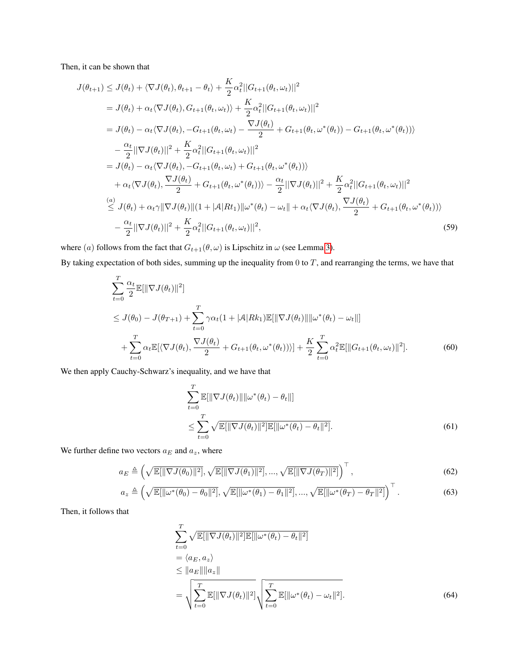Then, it can be shown that

$$
J(\theta_{t+1}) \leq J(\theta_t) + \langle \nabla J(\theta_t), \theta_{t+1} - \theta_t \rangle + \frac{K}{2} \alpha_t^2 ||G_{t+1}(\theta_t, \omega_t)||^2
$$
  
\n
$$
= J(\theta_t) + \alpha_t \langle \nabla J(\theta_t), G_{t+1}(\theta_t, \omega_t) \rangle + \frac{K}{2} \alpha_t^2 ||G_{t+1}(\theta_t, \omega_t)||^2
$$
  
\n
$$
= J(\theta_t) - \alpha_t \langle \nabla J(\theta_t), -G_{t+1}(\theta_t, \omega_t) - \frac{\nabla J(\theta_t)}{2} + G_{t+1}(\theta_t, \omega^*(\theta_t)) - G_{t+1}(\theta_t, \omega^*(\theta_t)) \rangle
$$
  
\n
$$
- \frac{\alpha_t}{2} ||\nabla J(\theta_t)||^2 + \frac{K}{2} \alpha_t^2 ||G_{t+1}(\theta_t, \omega_t)||^2
$$
  
\n
$$
= J(\theta_t) - \alpha_t \langle \nabla J(\theta_t), -G_{t+1}(\theta_t, \omega_t) + G_{t+1}(\theta_t, \omega^*(\theta_t)) \rangle
$$
  
\n
$$
+ \alpha_t \langle \nabla J(\theta_t), \frac{\nabla J(\theta_t)}{2} + G_{t+1}(\theta_t, \omega^*(\theta_t)) \rangle - \frac{\alpha_t}{2} ||\nabla J(\theta_t)||^2 + \frac{K}{2} \alpha_t^2 ||G_{t+1}(\theta_t, \omega_t)||^2
$$
  
\n
$$
\leq J(\theta_t) + \alpha_t \gamma ||\nabla J(\theta_t)||(1 + |A|Rt_1)||\omega^*(\theta_t) - \omega_t|| + \alpha_t \langle \nabla J(\theta_t), \frac{\nabla J(\theta_t)}{2} + G_{t+1}(\theta_t, \omega^*(\theta_t)) \rangle
$$
  
\n
$$
- \frac{\alpha_t}{2} ||\nabla J(\theta_t)||^2 + \frac{K}{2} \alpha_t^2 ||G_{t+1}(\theta_t, \omega_t)||^2,
$$
\n(59)

where (a) follows from the fact that  $G_{t+1}(\theta, \omega)$  is Lipschitz in  $\omega$  (see Lemma [3\)](#page-1-3). By taking expectation of both sides, summing up the inequality from  $0$  to  $T$ , and rearranging the terms, we have that

$$
\sum_{t=0}^{T} \frac{\alpha_t}{2} \mathbb{E}[\|\nabla J(\theta_t)\|^2]
$$
\n
$$
\leq J(\theta_0) - J(\theta_{T+1}) + \sum_{t=0}^{T} \gamma \alpha_t (1 + |A| R k_1) \mathbb{E}[\|\nabla J(\theta_t)\| \|\omega^*(\theta_t) - \omega_t\|]
$$
\n
$$
+ \sum_{t=0}^{T} \alpha_t \mathbb{E}[\langle \nabla J(\theta_t), \frac{\nabla J(\theta_t)}{2} + G_{t+1}(\theta_t, \omega^*(\theta_t))\rangle] + \frac{K}{2} \sum_{t=0}^{T} \alpha_t^2 \mathbb{E}[\|G_{t+1}(\theta_t, \omega_t)\|^2].
$$
\n(60)

We then apply Cauchy-Schwarz's inequality, and we have that

<span id="page-3-1"></span>
$$
\sum_{t=0}^{T} \mathbb{E}[\|\nabla J(\theta_t)\| \|\omega^*(\theta_t) - \theta_t\|]
$$
  
\n
$$
\leq \sum_{t=0}^{T} \sqrt{\mathbb{E}[\|\nabla J(\theta_t)\|^2] \mathbb{E}[\|\omega^*(\theta_t) - \theta_t\|^2]}.
$$
\n(61)

We further define two vectors  $a_E$  and  $a_z$ , where

$$
a_E \triangleq \left(\sqrt{\mathbb{E}[\|\nabla J(\theta_0)\|^2]}, \sqrt{\mathbb{E}[\|\nabla J(\theta_1)\|^2]}, ..., \sqrt{\mathbb{E}[\|\nabla J(\theta_T)\|^2]}\right)^\top, \tag{62}
$$

$$
a_z \triangleq \left(\sqrt{\mathbb{E}[\|\omega^*(\theta_0) - \theta_0\|^2]}, \sqrt{\mathbb{E}[\|\omega^*(\theta_1) - \theta_1\|^2]}, \dots, \sqrt{\mathbb{E}[\|\omega^*(\theta_T) - \theta_T\|^2]}\right)^\top. \tag{63}
$$

Then, it follows that

<span id="page-3-0"></span>
$$
\sum_{t=0}^{T} \sqrt{\mathbb{E}[\|\nabla J(\theta_t)\|^2] \mathbb{E}[\|\omega^*(\theta_t) - \theta_t\|^2]} \n= \langle a_E, a_z \rangle \n\leq \|a_E\| \|a_z\| \n= \sqrt{\sum_{t=0}^{T} \mathbb{E}[\|\nabla J(\theta_t)\|^2]} \sqrt{\sum_{t=0}^{T} \mathbb{E}[\|\omega^*(\theta_t) - \omega_t\|^2]}.
$$
\n(64)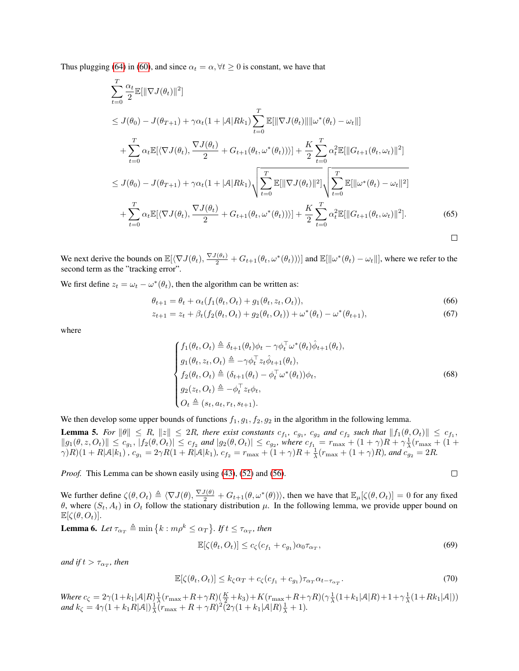Thus plugging [\(64\)](#page-3-0) in [\(60\)](#page-3-1), and since  $\alpha_t = \alpha, \forall t \geq 0$  is constant, we have that

$$
\sum_{t=0}^{T} \frac{\alpha_{t}}{2} \mathbb{E}[\|\nabla J(\theta_{t})\|^{2}]
$$
\n
$$
\leq J(\theta_{0}) - J(\theta_{T+1}) + \gamma \alpha_{t} (1 + |\mathcal{A}| R k_{1}) \sum_{t=0}^{T} \mathbb{E}[\|\nabla J(\theta_{t})\| \|\omega^{*}(\theta_{t}) - \omega_{t}\|]
$$
\n
$$
+ \sum_{t=0}^{T} \alpha_{t} \mathbb{E}[\langle \nabla J(\theta_{t}), \frac{\nabla J(\theta_{t})}{2} + G_{t+1}(\theta_{t}, \omega^{*}(\theta_{t})) \rangle] + \frac{K}{2} \sum_{t=0}^{T} \alpha_{t}^{2} \mathbb{E}[\|G_{t+1}(\theta_{t}, \omega_{t})\|^{2}]
$$
\n
$$
\leq J(\theta_{0}) - J(\theta_{T+1}) + \gamma \alpha_{t} (1 + |\mathcal{A}| R k_{1}) \sqrt{\sum_{t=0}^{T} \mathbb{E}[\|\nabla J(\theta_{t})\|^{2}] \sqrt{\sum_{t=0}^{T} \mathbb{E}[\|\omega^{*}(\theta_{t}) - \omega_{t}\|^{2}]}}
$$
\n
$$
+ \sum_{t=0}^{T} \alpha_{t} \mathbb{E}[\langle \nabla J(\theta_{t}), \frac{\nabla J(\theta_{t})}{2} + G_{t+1}(\theta_{t}, \omega^{*}(\theta_{t})) \rangle] + \frac{K}{2} \sum_{t=0}^{T} \alpha_{t}^{2} \mathbb{E}[\|G_{t+1}(\theta_{t}, \omega_{t})\|^{2}]. \tag{65}
$$

We next derive the bounds on  $\mathbb{E}[\langle \nabla J(\theta_t), \frac{\nabla J(\theta_t)}{2} + G_{t+1}(\theta_t, \omega^*(\theta_t)) \rangle]$  and  $\mathbb{E}[\|\omega^*(\theta_t) - \omega_t\|]$ , where we refer to the second term as the "tracking error".

We first define  $z_t = \omega_t - \omega^*(\theta_t)$ , then the algorithm can be written as:

$$
\theta_{t+1} = \theta_t + \alpha_t (f_1(\theta_t, O_t) + g_1(\theta_t, z_t, O_t)),
$$
\n(66)

$$
z_{t+1} = z_t + \beta_t (f_2(\theta_t, O_t) + g_2(\theta_t, O_t)) + \omega^*(\theta_t) - \omega^*(\theta_{t+1}),
$$
\n(67)

where

$$
\begin{cases}\nf_1(\theta_t, O_t) \triangleq \delta_{t+1}(\theta_t)\phi_t - \gamma \phi_t^\top \omega^*(\theta_t)\hat{\phi}_{t+1}(\theta_t), \\
g_1(\theta_t, z_t, O_t) \triangleq -\gamma \phi_t^\top z_t \hat{\phi}_{t+1}(\theta_t), \\
f_2(\theta_t, O_t) \triangleq (\delta_{t+1}(\theta_t) - \phi_t^\top \omega^*(\theta_t))\phi_t, \\
g_2(z_t, O_t) \triangleq -\phi_t^\top z_t \phi_t, \\
O_t \triangleq (s_t, a_t, r_t, s_{t+1}).\n\end{cases} \tag{68}
$$

We then develop some upper bounds of functions  $f_1, g_1, f_2, g_2$  in the algorithm in the following lemma.

<span id="page-4-0"></span>**Lemma 5.** For  $\|\theta\| \leq R$ ,  $\|z\| \leq 2R$ , there exist constants  $c_{f_1}$ ,  $c_{g_1}$ ,  $c_{g_2}$  and  $c_{f_2}$  such that  $\|f_1(\theta, O_t)\| \leq c_{f_1}$ ,  $||g_1(\theta, z, O_t)|| \le c_{g_1}$ ,  $|f_2(\theta, O_t)| \le c_{f_2}$  and  $|g_2(\theta, O_t)| \le c_{g_2}$ , where  $c_{f_1} = r_{\text{max}} + (1 + \gamma)R + \gamma \frac{1}{\lambda}(r_{\text{max}} + (1 + \gamma)R)$  $\gamma(R)(1 + R|\mathcal{A}|k_1)$ ,  $c_{g_1} = 2\gamma R(1 + R|\mathcal{A}|k_1)$ ,  $c_{f_2} = r_{\text{max}} + (1 + \gamma)R + \frac{1}{\lambda}(r_{\text{max}} + (1 + \gamma)R)$ , and  $c_{g_2} = 2R$ .

*Proof.* This Lemma can be shown easily using [\(43\)](#page-0-2), [\(52\)](#page-2-0) and [\(56\)](#page-2-1).

We further define  $\zeta(\theta, O_t) \triangleq \langle \nabla J(\theta), \frac{\nabla J(\theta)}{2} + G_{t+1}(\theta, \omega^*(\theta)) \rangle$ , then we have that  $\mathbb{E}_{\mu}[\zeta(\theta, O_t)] = 0$  for any fixed θ, where  $(S_t, A_t)$  in  $O_t$  follow the stationary distribution  $\mu$ . In the following lemma, we provide upper bound on  $\mathbb{E}[\zeta(\theta, O_t)].$ 

<span id="page-4-1"></span>**Lemma 6.** Let  $\tau_{\alpha_T} \triangleq \min\big\{k : m\rho^k \leq \alpha_T\big\}$ . If  $t \leq \tau_{\alpha_T}$ , then

$$
\mathbb{E}[\zeta(\theta_t, O_t)] \le c_{\zeta}(c_{f_1} + c_{g_1})\alpha_0 \tau_{\alpha_T},\tag{69}
$$

<span id="page-4-2"></span> $\Box$ 

 $and$  if  $t > \tau_{\alpha_T}$ , then

$$
\mathbb{E}[\zeta(\theta_t, O_t)] \le k_\zeta \alpha_T + c_\zeta (c_{f_1} + c_{g_1}) \tau_{\alpha_T} \alpha_{t - \tau_{\alpha_T}}.
$$
\n(70)

 $Where \ c_{\zeta} = 2\gamma(1+k_1|\mathcal{A}|R)\frac{1}{\lambda}(r_{\max}+R+\gamma R)(\frac{K}{2}+k_3)+K(r_{\max}+R+\gamma R)(\gamma\frac{1}{\lambda}(1+k_1|\mathcal{A}|R)+1+\gamma\frac{1}{\lambda}(1+Rk_1|\mathcal{A}|))$  $and k_{\zeta} = 4\gamma(1 + k_1 R|\mathcal{A}|)\frac{1}{\lambda}(r_{\max} + R + \gamma R)^2(2\gamma(1 + k_1|\mathcal{A}|R)\frac{1}{\lambda} + 1).$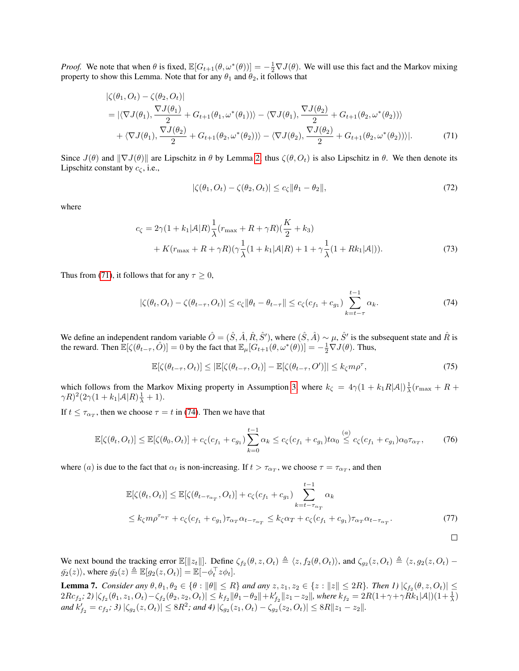*Proof.* We note that when  $\theta$  is fixed,  $\mathbb{E}[G_{t+1}(\theta, \omega^*(\theta))] = -\frac{1}{2}\nabla J(\theta)$ . We will use this fact and the Markov mixing property to show this Lemma. Note that for any  $\theta_1$  and  $\theta_2$ , it follows that

$$
\begin{split} |\zeta(\theta_1, O_t) - \zeta(\theta_2, O_t)| \\ &= |\langle \nabla J(\theta_1), \frac{\nabla J(\theta_1)}{2} + G_{t+1}(\theta_1, \omega^*(\theta_1)) \rangle - \langle \nabla J(\theta_1), \frac{\nabla J(\theta_2)}{2} + G_{t+1}(\theta_2, \omega^*(\theta_2)) \rangle \\ &+ \langle \nabla J(\theta_1), \frac{\nabla J(\theta_2)}{2} + G_{t+1}(\theta_2, \omega^*(\theta_2)) \rangle - \langle \nabla J(\theta_2), \frac{\nabla J(\theta_2)}{2} + G_{t+1}(\theta_2, \omega^*(\theta_2)) \rangle|. \end{split} \tag{71}
$$

Since  $J(\theta)$  and  $\|\nabla J(\theta)\|$  are Lipschitz in  $\theta$  by Lemma [2,](#page-0-1) thus  $\zeta(\theta, O_t)$  is also Lipschitz in  $\theta$ . We then denote its Lipschitz constant by  $c_{\zeta}$ , i.e.,

<span id="page-5-1"></span><span id="page-5-0"></span>
$$
|\zeta(\theta_1, O_t) - \zeta(\theta_2, O_t)| \le c_\zeta \|\theta_1 - \theta_2\|,\tag{72}
$$

where

$$
c_{\zeta} = 2\gamma (1 + k_1|\mathcal{A}|R) \frac{1}{\lambda} (r_{\max} + R + \gamma R)(\frac{K}{2} + k_3) + K(r_{\max} + R + \gamma R)(\gamma \frac{1}{\lambda} (1 + k_1|\mathcal{A}|R) + 1 + \gamma \frac{1}{\lambda} (1 + Rk_1|\mathcal{A}|)).
$$
 (73)

Thus from [\(71\)](#page-5-0), it follows that for any  $\tau \geq 0$ ,

$$
|\zeta(\theta_t, O_t) - \zeta(\theta_{t-\tau}, O_t)| \le c_{\zeta} \|\theta_t - \theta_{t-\tau}\| \le c_{\zeta}(c_{f_1} + c_{g_1}) \sum_{k=t-\tau}^{t-1} \alpha_k.
$$
 (74)

We define an independent random variable  $\hat{O} = (\hat{S}, \hat{A}, \hat{R}, \hat{S}')$ , where  $(\hat{S}, \hat{A}) \sim \mu$ ,  $\hat{S}'$  is the subsequent state and  $\hat{R}$  is the reward. Then  $\mathbb{E}[\zeta(\theta_{t-\tau}, \hat{O})] = 0$  by the fact that  $\mathbb{E}_{\mu}[G_{t+1}(\theta, \omega^*(\theta))] = -\frac{1}{2}\nabla J(\theta)$ . Thus,

$$
\mathbb{E}[\zeta(\theta_{t-\tau}, O_t)] \leq |\mathbb{E}[\zeta(\theta_{t-\tau}, O_t)] - \mathbb{E}[\zeta(\theta_{t-\tau}, O')]| \leq k_{\zeta} m \rho^{\tau},\tag{75}
$$

which follows from the Markov Mixing property in Assumption 3, where  $k_{\zeta} = 4\gamma(1 + k_1 R|\mathcal{A}|)\frac{1}{\lambda}(r_{\text{max}} + R +$  $\gamma R)^2 (2\gamma(1+k_1|\mathcal{A}|R)\frac{1}{\lambda}+1).$ 

If  $t \leq \tau_{\alpha_T}$ , then we choose  $\tau = t$  in [\(74\)](#page-5-1). Then we have that

$$
\mathbb{E}[\zeta(\theta_t, O_t)] \le \mathbb{E}[\zeta(\theta_0, O_t)] + c_{\zeta}(c_{f_1} + c_{g_1}) \sum_{k=0}^{t-1} \alpha_k \le c_{\zeta}(c_{f_1} + c_{g_1}) t \alpha_0 \stackrel{(a)}{\le} c_{\zeta}(c_{f_1} + c_{g_1}) \alpha_0 \tau_{\alpha_T},
$$
(76)

where (a) is due to the fact that  $\alpha_t$  is non-increasing. If  $t > \tau_{\alpha_T}$ , we choose  $\tau = \tau_{\alpha_T}$ , and then

$$
\mathbb{E}[\zeta(\theta_t, O_t)] \leq \mathbb{E}[\zeta(\theta_{t-\tau_{\alpha_T}}, O_t)] + c_{\zeta}(c_{f_1} + c_{g_1}) \sum_{k=t-\tau_{\alpha_T}}^{t-1} \alpha_k
$$
  

$$
\leq k_{\zeta} m \rho^{\tau_{\alpha_T}} + c_{\zeta}(c_{f_1} + c_{g_1}) \tau_{\alpha_T} \alpha_{t-\tau_{\alpha_T}} \leq k_{\zeta} \alpha_T + c_{\zeta}(c_{f_1} + c_{g_1}) \tau_{\alpha_T} \alpha_{t-\tau_{\alpha_T}}.
$$
(77)

We next bound the tracking error  $\mathbb{E}[\Vert z_t \Vert]$ . Define  $\zeta_{f_2}(\theta, z, O_t) \triangleq \langle z, f_2(\theta, O_t) \rangle$ , and  $\zeta_{g_2}(z, O_t) \triangleq \langle z, g_2(z, O_t) \bar{g_2}(z)$ , where  $\bar{g_2}(z) \triangleq \mathbb{E}[g_2(z, O_t)] = \mathbb{E}[-\phi_t^{\top} z \phi_t].$ 

<span id="page-5-2"></span>Lemma 7. *Consider any*  $\theta, \theta_1, \theta_2 \in \{\theta : ||\theta|| \leq R\}$  and any  $z, z_1, z_2 \in \{z : ||z|| \leq 2R\}$ . Then  $I)$   $|\zeta_{f_2}(\theta, z, O_t)| \leq$  $2Rc_{f_2};\,2)\,|\zeta_{f_2}(\theta_1,z_1,O_t)-\zeta_{f_2}(\theta_2,z_2,O_t)|\leq k_{f_2}\|\theta_1-\theta_2\|+k'_{f_2}\|z_1-z_2\|,$  where  $k_{f_2}=2R(1+\gamma+\gamma Rk_1|\mathcal{A}|)(1+\frac{1}{\lambda})$  $\|g_{12}(z,t) - \zeta_{12}(z,t) - \zeta_{21}(z,t) - \zeta_{32}(z,t) - \zeta_{12}(z,t) - \zeta_{22}(z,t) - \zeta_{12}(z,t) - \zeta_{21}(z,t) - \zeta_{12}(z,t) - \zeta_{12}(z,t) - \zeta_{12}(z,t) - \zeta_{12}(z,t) - \zeta_{12}(z,t) - \zeta_{12}(z,t) - \zeta_{12}(z,t) - \zeta_{12}(z,t) - \zeta_{12}(z,t) - \zeta_{12}(z,t) - \zeta_{12}(z,t) - \zeta_{12}(z,t) -$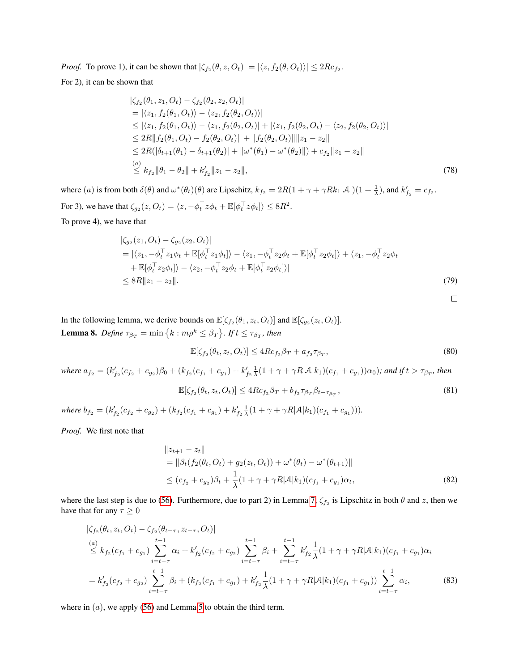*Proof.* To prove 1), it can be shown that  $|\zeta_{f_2}(\theta, z, O_t)| = |\langle z, f_2(\theta, O_t) \rangle| \leq 2Rc_{f_2}$ . For 2), it can be shown that

$$
\begin{aligned}\n&\left|\zeta_{f_2}(\theta_1, z_1, O_t) - \zeta_{f_2}(\theta_2, z_2, O_t)\right| \\
&= \left|\langle z_1, f_2(\theta_1, O_t) \rangle - \langle z_2, f_2(\theta_2, O_t) \rangle\right| \\
&\leq \left|\langle z_1, f_2(\theta_1, O_t) \rangle - \langle z_1, f_2(\theta_2, O_t) \rangle\right| + \left|\langle z_1, f_2(\theta_2, O_t) - \langle z_2, f_2(\theta_2, O_t) \rangle\right| \\
&\leq 2R \|\hat{f}_2(\theta_1, O_t) - \hat{f}_2(\theta_2, O_t)\| + \|f_2(\theta_2, O_t)\| \|z_1 - z_2\| \\
&\leq 2R(\left|\delta_{t+1}(\theta_1) - \delta_{t+1}(\theta_2)\right| + \|\omega^*(\theta_1) - \omega^*(\theta_2)\|\right) + c_{f_2} \|z_1 - z_2\| \\
&\stackrel{(a)}{\leq} k_{f_2} \|\theta_1 - \theta_2\| + k'_{f_2} \|z_1 - z_2\|,\n\end{aligned} \tag{78}
$$

where (a) is from both  $\delta(\theta)$  and  $\omega^*(\theta_t)(\theta)$  are Lipschitz,  $k_{f_2} = 2R(1 + \gamma + \gamma R k_1|\mathcal{A}|)(1 + \frac{1}{\lambda})$ , and  $k'_{f_2} = c_{f_2}$ . For 3), we have that  $\zeta_{g_2}(z, O_t) = \langle z, -\phi_t^\top z \phi_t + \mathbb{E}[\phi_t^\top z \phi_t] \rangle \leq 8R^2$ . To prove 4), we have that

$$
\begin{split} &|\zeta_{g_2}(z_1, O_t) - \zeta_{g_2}(z_2, O_t)| \\ &= |\langle z_1, -\phi_t^\top z_1 \phi_t + \mathbb{E}[\phi_t^\top z_1 \phi_t] \rangle - \langle z_1, -\phi_t^\top z_2 \phi_t + \mathbb{E}[\phi_t^\top z_2 \phi_t] \rangle + \langle z_1, -\phi_t^\top z_2 \phi_t \\ &+ \mathbb{E}[\phi_t^\top z_2 \phi_t] \rangle - \langle z_2, -\phi_t^\top z_2 \phi_t + \mathbb{E}[\phi_t^\top z_2 \phi_t] \rangle| \\ &\leq 8R \|z_1 - z_2\|. \end{split} \tag{79}
$$

<span id="page-6-1"></span>In the following lemma, we derive bounds on  $\mathbb{E}[\zeta_{f_2}(\theta_1, z_t, O_t)]$  and  $\mathbb{E}[\zeta_{g_2}(z_t, O_t)]$ . **Lemma 8.** Define  $\tau_{\beta_T} = \min\left\{k : m\rho^k \leq \beta_T\right\}$ . If  $t \leq \tau_{\beta_T}$ , then

$$
\mathbb{E}[\zeta_{f_2}(\theta_t, z_t, O_t)] \le 4Rc_{f_2}\beta_T + a_{f_2}\tau_{\beta_T},\tag{80}
$$

<span id="page-6-0"></span> $\hfill\square$ 

 $where a_{f_2} = (k'_{f_2}(c_{f_2} + c_{g_2})\beta_0 + (k_{f_2}(c_{f_1} + c_{g_1}) + k'_{f_2} \frac{1}{\lambda}(1 + \gamma + \gamma R|\mathcal{A}|k_1)(c_{f_1} + c_{g_1}))\alpha_0$ ); and if  $t > \tau_{\beta_T}$ , then

$$
\mathbb{E}[\zeta_{f_2}(\theta_t, z_t, O_t)] \le 4Rc_{f_2}\beta_T + b_{f_2}\tau_{\beta_T}\beta_{t-\tau_{\beta_T}},
$$
\n(81)

*where*  $b_{f_2} = (k'_{f_2}(c_{f_2} + c_{g_2}) + (k_{f_2}(c_{f_1} + c_{g_1}) + k'_{f_2} \frac{1}{\lambda}(1 + \gamma + \gamma R |A|k_1)(c_{f_1} + c_{g_1}))).$ 

*Proof.* We first note that

$$
||z_{t+1} - z_t||
$$
  
=  $||\beta_t(f_2(\theta_t, O_t) + g_2(z_t, O_t)) + \omega^*(\theta_t) - \omega^*(\theta_{t+1})||$   
 $\leq (c_{f_2} + c_{g_2})\beta_t + \frac{1}{\lambda}(1 + \gamma + \gamma R|\mathcal{A}|k_1)(c_{f_1} + c_{g_1})\alpha_t,$  (82)

where the last step is due to [\(56\)](#page-2-1). Furthermore, due to part 2) in Lemma [7,](#page-5-2)  $\zeta_{f_2}$  is Lipschitz in both  $\theta$  and  $z$ , then we have that for any  $\tau \geq 0$ 

$$
\begin{split}\n&\left|\zeta_{f_2}(\theta_t, z_t, O_t) - \zeta_{f_2}(\theta_{t-\tau}, z_{t-\tau}, O_t)\right| \\
&\stackrel{(a)}{\leq} k_{f_2}(c_{f_1} + c_{g_1}) \sum_{i=t-\tau}^{t-1} \alpha_i + k'_{f_2}(c_{f_2} + c_{g_2}) \sum_{i=t-\tau}^{t-1} \beta_i + \sum_{i=t-\tau}^{t-1} k'_{f_2} \frac{1}{\lambda} (1 + \gamma + \gamma R |A| k_1) (c_{f_1} + c_{g_1}) \alpha_i \\
&= k'_{f_2}(c_{f_2} + c_{g_2}) \sum_{i=t-\tau}^{t-1} \beta_i + (k_{f_2}(c_{f_1} + c_{g_1}) + k'_{f_2} \frac{1}{\lambda} (1 + \gamma + \gamma R |A| k_1) (c_{f_1} + c_{g_1})) \sum_{i=t-\tau}^{t-1} \alpha_i,\n\end{split} \tag{83}
$$

where in  $(a)$ , we apply [\(56\)](#page-2-1) and Lemma [5](#page-4-0) to obtain the third term.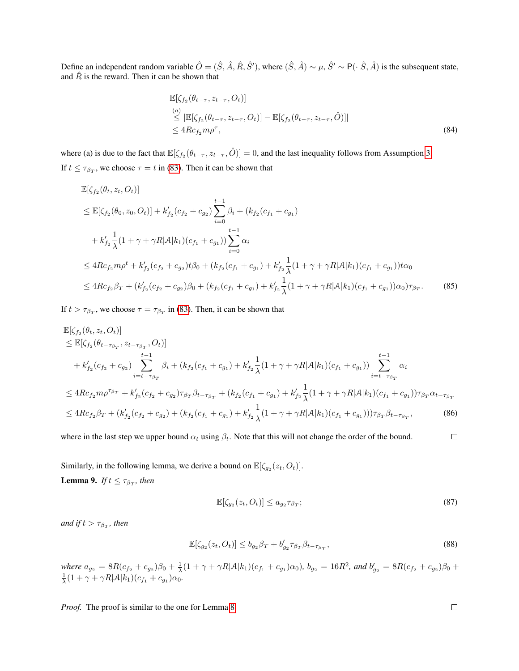Define an independent random variable  $\hat{O} = (\hat{S}, \hat{A}, \hat{R}, \hat{S}')$ , where  $(\hat{S}, \hat{A}) \sim \mu$ ,  $\hat{S}' \sim P(\cdot | \hat{S}, \hat{A})$  is the subsequent state, and  $\hat{R}$  is the reward. Then it can be shown that

$$
\mathbb{E}[\zeta_{f_2}(\theta_{t-\tau}, z_{t-\tau}, O_t)]
$$
\n
$$
\leq |\mathbb{E}[\zeta_{f_2}(\theta_{t-\tau}, z_{t-\tau}, O_t)] - \mathbb{E}[\zeta_{f_2}(\theta_{t-\tau}, z_{t-\tau}, \hat{O})]|
$$
\n
$$
\leq 4Rc_{f_2}m\rho^{\tau},
$$
\n(84)

where (a) is due to the fact that  $\mathbb{E}[\zeta_{f_2}(\theta_{t-\tau}, z_{t-\tau}, \hat{O})] = 0$ , and the last inequality follows from Assumption 3. If  $t \leq \tau_{\beta_T}$ , we choose  $\tau = t$  in [\(83\)](#page-6-0). Then it can be shown that

$$
\mathbb{E}[\zeta_{f_2}(\theta_t, z_t, O_t)]
$$
\n
$$
\leq \mathbb{E}[\zeta_{f_2}(\theta_0, z_0, O_t)] + k'_{f_2}(c_{f_2} + c_{g_2}) \sum_{i=0}^{t-1} \beta_i + (k_{f_2}(c_{f_1} + c_{g_1})
$$
\n
$$
+ k'_{f_2} \frac{1}{\lambda} (1 + \gamma + \gamma R |\mathcal{A}| k_1) (c_{f_1} + c_{g_1}) \sum_{i=0}^{t-1} \alpha_i
$$
\n
$$
\leq 4 R c_{f_2} m \rho^t + k'_{f_2} (c_{f_2} + c_{g_2}) t \beta_0 + (k_{f_2}(c_{f_1} + c_{g_1}) + k'_{f_2} \frac{1}{\lambda} (1 + \gamma + \gamma R |\mathcal{A}| k_1) (c_{f_1} + c_{g_1}) t \alpha_0
$$
\n
$$
\leq 4 R c_{f_2} \beta_T + (k'_{f_2}(c_{f_2} + c_{g_2}) \beta_0 + (k_{f_2}(c_{f_1} + c_{g_1}) + k'_{f_2} \frac{1}{\lambda} (1 + \gamma + \gamma R |\mathcal{A}| k_1) (c_{f_1} + c_{g_1}) ) \alpha_0 \gamma_{\beta_T}.
$$
\n(85)

If  $t > \tau_{\beta_T}$ , we choose  $\tau = \tau_{\beta_T}$  in [\(83\)](#page-6-0). Then, it can be shown that

$$
\mathbb{E}[\zeta_{f_2}(\theta_t, z_t, O_t)]
$$
\n
$$
\leq \mathbb{E}[\zeta_{f_2}(\theta_{t-\tau_{\beta_T}}, z_{t-\tau_{\beta_T}}, O_t)]
$$
\n
$$
+ k'_{f_2}(c_{f_2} + c_{g_2}) \sum_{i=t-\tau_{\beta_T}}^{t-1} \beta_i + (k_{f_2}(c_{f_1} + c_{g_1}) + k'_{f_2} \frac{1}{\lambda} (1 + \gamma + \gamma R |A| k_1) (c_{f_1} + c_{g_1})) \sum_{i=t-\tau_{\beta_T}}^{t-1} \alpha_i
$$
\n
$$
\leq 4Rc_{f_2} m \rho^{\tau_{\beta_T}} + k'_{f_2}(c_{f_2} + c_{g_2}) \tau_{\beta_T} \beta_{t-\tau_{\beta_T}} + (k_{f_2}(c_{f_1} + c_{g_1}) + k'_{f_2} \frac{1}{\lambda} (1 + \gamma + \gamma R |A| k_1) (c_{f_1} + c_{g_1})) \tau_{\beta_T} \alpha_{t-\tau_{\beta_T}}
$$
\n
$$
\leq 4Rc_{f_2} \beta_T + (k'_{f_2}(c_{f_2} + c_{g_2}) + (k_{f_2}(c_{f_1} + c_{g_1}) + k'_{f_2} \frac{1}{\lambda} (1 + \gamma + \gamma R |A| k_1) (c_{f_1} + c_{g_1})) \tau_{\beta_T} \beta_{t-\tau_{\beta_T}}, \tag{86}
$$

 $\Box$ where in the last step we upper bound  $\alpha_t$  using  $\beta_t$ . Note that this will not change the order of the bound.

<span id="page-7-0"></span>Similarly, in the following lemma, we derive a bound on  $\mathbb{E}[\zeta_{g_2}(z_t, O_t)]$ . **Lemma 9.** If  $t \leq \tau_{\beta_T}$ , then

$$
\mathbb{E}[\zeta_{g_2}(z_t, O_t)] \le a_{g_2} \tau_{\beta_T};\tag{87}
$$

 $and$  if  $t > \tau_{\beta_T}$ , then

$$
\mathbb{E}[\zeta_{g_2}(z_t, O_t)] \le b_{g_2} \beta_T + b'_{g_2} \tau_{\beta_T} \beta_{t-\tau_{\beta_T}},
$$
\n(88)

*where*  $a_{g_2} = 8R(c_{f_2} + c_{g_2})\beta_0 + \frac{1}{\lambda}(1 + \gamma + \gamma R|\mathcal{A}|k_1)(c_{f_1} + c_{g_1})\alpha_0$ ,  $b_{g_2} = 16R^2$ , and  $b'_{g_2} = 8R(c_{f_2} + c_{g_2})\beta_0 + \frac{1}{\lambda}(1 + \gamma + \gamma R|\mathcal{A}|k_1)(c_{f_1} + c_{g_1})\alpha_0$ .

*Proof.* The proof is similar to the one for Lemma [8.](#page-6-1)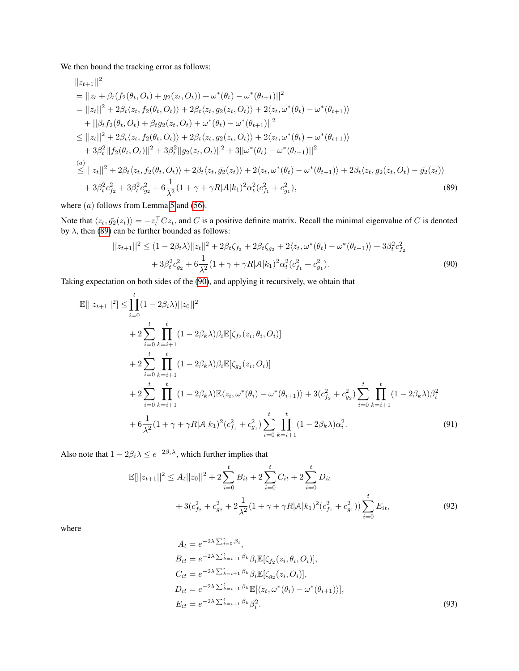We then bound the tracking error as follows:

$$
||z_{t+1}||^{2}
$$
\n=  $||z_{t} + \beta_{t}(f_{2}(\theta_{t}, O_{t}) + g_{2}(z_{t}, O_{t})) + \omega^{*}(\theta_{t}) - \omega^{*}(\theta_{t+1})||^{2}$   
\n=  $||z_{t}||^{2} + 2\beta_{t}\langle z_{t}, f_{2}(\theta_{t}, O_{t})\rangle + 2\beta_{t}\langle z_{t}, g_{2}(z_{t}, O_{t})\rangle + 2\langle z_{t}, \omega^{*}(\theta_{t}) - \omega^{*}(\theta_{t+1})\rangle$   
\n+  $||\beta_{t}f_{2}(\theta_{t}, O_{t}) + \beta_{t}g_{2}(z_{t}, O_{t}) + \omega^{*}(\theta_{t}) - \omega^{*}(\theta_{t+1})||^{2}$   
\n $\leq ||z_{t}||^{2} + 2\beta_{t}\langle z_{t}, f_{2}(\theta_{t}, O_{t})\rangle + 2\beta_{t}\langle z_{t}, g_{2}(z_{t}, O_{t})\rangle + 2\langle z_{t}, \omega^{*}(\theta_{t}) - \omega^{*}(\theta_{t+1})\rangle$   
\n+  $3\beta_{t}^{2}||f_{2}(\theta_{t}, O_{t})||^{2} + 3\beta_{t}^{2}||g_{2}(z_{t}, O_{t})||^{2} + 3||\omega^{*}(\theta_{t}) - \omega^{*}(\theta_{t+1})||^{2}$   
\n(a)  
\n(a)  
\n $||z_{t}||^{2} + 2\beta_{t}\langle z_{t}, f_{2}(\theta_{t}, O_{t})\rangle + 2\beta_{t}\langle z_{t}, \bar{g_{2}}(z_{t})\rangle + 2\langle z_{t}, \omega^{*}(\theta_{t}) - \omega^{*}(\theta_{t+1})\rangle + 2\beta_{t}\langle z_{t}, g_{2}(z_{t}, O_{t}) - \bar{g_{2}}(z_{t})\rangle$   
\n+  $3\beta_{t}^{2}c_{f_{2}}^{2} + 3\beta_{t}^{2}c_{g_{2}}^{2} + 6\frac{1}{\lambda^{2}}(1 + \gamma + \gamma R|\mathcal{A}|k_{1})^{2}\alpha_{t}^{2}(c_{f_{1}}^{2} + c_{g_{1}}^{2}),$   
\n(89)

where  $(a)$  follows from Lemma [5](#page-4-0) and [\(56\)](#page-2-1).

Note that  $\langle z_t, \bar{g_2}(z_t)\rangle = -z_t^\top Cz_t$ , and C is a positive definite matrix. Recall the minimal eigenvalue of C is denoted by  $\lambda$ , then [\(89\)](#page-8-0) can be further bounded as follows:

<span id="page-8-1"></span><span id="page-8-0"></span>
$$
||z_{t+1}||^2 \le (1 - 2\beta_t \lambda) ||z_t||^2 + 2\beta_t \zeta_{f_2} + 2\beta_t \zeta_{g_2} + 2\langle z_t, \omega^*(\theta_t) - \omega^*(\theta_{t+1})\rangle + 3\beta_t^2 c_{f_2}^2 + 3\beta_t^2 c_{g_2}^2 + 6\frac{1}{\lambda^2} (1 + \gamma + \gamma R |\mathcal{A}| k_1)^2 \alpha_t^2 (c_{f_1}^2 + c_{g_1}^2).
$$
\n(90)

Taking expectation on both sides of the [\(90\)](#page-8-1), and applying it recursively, we obtain that

$$
\mathbb{E}[||z_{t+1}||^{2}] \leq \prod_{i=0}^{t} (1 - 2\beta_{i}\lambda)||z_{0}||^{2} \n+ 2 \sum_{i=0}^{t} \prod_{k=i+1}^{t} (1 - 2\beta_{k}\lambda)\beta_{i}\mathbb{E}[\zeta_{f_{2}}(z_{i}, \theta_{i}, O_{i})] \n+ 2 \sum_{i=0}^{t} \prod_{k=i+1}^{t} (1 - 2\beta_{k}\lambda)\beta_{i}\mathbb{E}[\zeta_{g_{2}}(z_{i}, O_{i})] \n+ 2 \sum_{i=0}^{t} \prod_{k=i+1}^{t} (1 - 2\beta_{k}\lambda)\mathbb{E}\langle z_{i}, \omega^{*}(\theta_{i}) - \omega^{*}(\theta_{i+1})\rangle + 3(c_{f_{2}}^{2} + c_{g_{2}}^{2}) \sum_{i=0}^{t} \prod_{k=i+1}^{t} (1 - 2\beta_{k}\lambda)\beta_{i}^{2} \n+ 6 \frac{1}{\lambda^{2}}(1 + \gamma + \gamma R|\mathcal{A}|k_{1})^{2}(c_{f_{1}}^{2} + c_{g_{1}}^{2}) \sum_{i=0}^{t} \prod_{k=i+1}^{t} (1 - 2\beta_{k}\lambda)\alpha_{i}^{2}.
$$
\n(91)

Also note that  $1 - 2\beta_i \lambda \le e^{-2\beta_i \lambda}$ , which further implies that

$$
\mathbb{E}[\|z_{t+1}\|^2 \le A_t \|z_0\|^2 + 2 \sum_{i=0}^t B_{it} + 2 \sum_{i=0}^t C_{it} + 2 \sum_{i=0}^t D_{it}
$$
  
+  $3(c_{f_2}^2 + c_{g_2}^2 + 2 \frac{1}{\lambda^2} (1 + \gamma + \gamma R |A| k_1)^2 (c_{f_1}^2 + c_{g_1}^2)) \sum_{i=0}^t E_{it},$  (92)

where

<span id="page-8-2"></span>
$$
A_t = e^{-2\lambda \sum_{i=0}^t \beta_i},
$$
  
\n
$$
B_{it} = e^{-2\lambda \sum_{k=i+1}^t \beta_k} \beta_i \mathbb{E}[\zeta_{f_2}(z_i, \theta_i, O_i)],
$$
  
\n
$$
C_{it} = e^{-2\lambda \sum_{k=i+1}^t \beta_k} \beta_i \mathbb{E}[\zeta_{g_2}(z_i, O_i)],
$$
  
\n
$$
D_{it} = e^{-2\lambda \sum_{k=i+1}^t \beta_k} \mathbb{E}[\langle z_t, \omega^*(\theta_i) - \omega^*(\theta_{i+1}) \rangle],
$$
  
\n
$$
E_{it} = e^{-2\lambda \sum_{k=i+1}^t \beta_k} \beta_i^2.
$$
\n(93)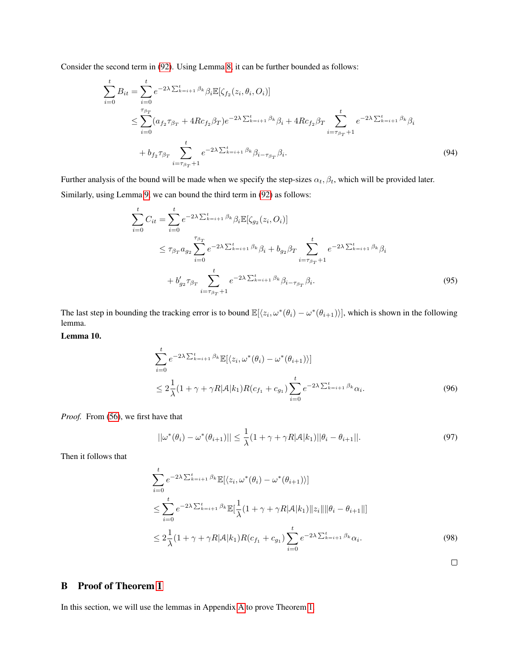Consider the second term in [\(92\)](#page-8-2). Using Lemma [8,](#page-6-1) it can be further bounded as follows:

$$
\sum_{i=0}^{t} B_{it} = \sum_{i=0}^{t} e^{-2\lambda \sum_{k=i+1}^{t} \beta_k} \beta_i \mathbb{E}[\zeta_{f_2}(z_i, \theta_i, O_i)]
$$
\n
$$
\leq \sum_{i=0}^{\tau_{\beta_T}} (a_{f_2} \tau_{\beta_T} + 4Rc_{f_2} \beta_T) e^{-2\lambda \sum_{k=i+1}^{t} \beta_k} \beta_i + 4Rc_{f_2} \beta_T \sum_{i=\tau_{\beta_T}+1}^{t} e^{-2\lambda \sum_{k=i+1}^{t} \beta_k} \beta_i
$$
\n
$$
+ b_{f_2} \tau_{\beta_T} \sum_{i=\tau_{\beta_T}+1}^{t} e^{-2\lambda \sum_{k=i+1}^{t} \beta_k} \beta_{i-\tau_{\beta_T}} \beta_i.
$$
\n(94)

Further analysis of the bound will be made when we specify the step-sizes  $\alpha_t$ ,  $\beta_t$ , which will be provided later. Similarly, using Lemma [9,](#page-7-0) we can bound the third term in [\(92\)](#page-8-2) as follows:

<span id="page-9-0"></span>
$$
\sum_{i=0}^{t} C_{it} = \sum_{i=0}^{t} e^{-2\lambda \sum_{k=i+1}^{t} \beta_k} \beta_i \mathbb{E}[\zeta_{g_2}(z_i, O_i)]
$$
\n
$$
\leq \tau_{\beta_T} a_{g_2} \sum_{i=0}^{\tau_{\beta_T}} e^{-2\lambda \sum_{k=i+1}^{t} \beta_k} \beta_i + b_{g_2} \beta_T \sum_{i=\tau_{\beta_T}+1}^{t} e^{-2\lambda \sum_{k=i+1}^{t} \beta_k} \beta_i
$$
\n
$$
+ b'_{g_2} \tau_{\beta_T} \sum_{i=\tau_{\beta_T}+1}^{t} e^{-2\lambda \sum_{k=i+1}^{t} \beta_k} \beta_{i-\tau_{\beta_T}} \beta_i.
$$
\n(95)

The last step in bounding the tracking error is to bound  $\mathbb{E}[\langle z_i, \omega^*(\theta_i) - \omega^*(\theta_{i+1})\rangle]$ , which is shown in the following lemma.

Lemma 10.

$$
\sum_{i=0}^{t} e^{-2\lambda \sum_{k=i+1}^{t} \beta_k} \mathbb{E}[\langle z_i, \omega^*(\theta_i) - \omega^*(\theta_{i+1}) \rangle]
$$
  
 
$$
\leq 2 \frac{1}{\lambda} (1 + \gamma + \gamma R |\mathcal{A}| k_1) R(c_{f_1} + c_{g_1}) \sum_{i=0}^{t} e^{-2\lambda \sum_{k=i+1}^{t} \beta_k} \alpha_i.
$$
 (96)

*Proof.* From [\(56\)](#page-2-1), we first have that

$$
||\omega^*(\theta_i) - \omega^*(\theta_{i+1})|| \le \frac{1}{\lambda}(1 + \gamma + \gamma R|\mathcal{A}|k_1||\theta_i - \theta_{i+1}||. \tag{97}
$$

Then it follows that

$$
\sum_{i=0}^{t} e^{-2\lambda \sum_{k=i+1}^{t} \beta_k} \mathbb{E}[\langle z_i, \omega^*(\theta_i) - \omega^*(\theta_{i+1}) \rangle] \n\leq \sum_{i=0}^{t} e^{-2\lambda \sum_{k=i+1}^{t} \beta_k} \mathbb{E}[\frac{1}{\lambda}(1+\gamma+\gamma R|\mathcal{A}|k_1) \|z_i\| \|\theta_i - \theta_{i+1}\|] \n\leq 2\frac{1}{\lambda}(1+\gamma+\gamma R|\mathcal{A}|k_1)R(c_{f_1} + c_{g_1}) \sum_{i=0}^{t} e^{-2\lambda \sum_{k=i+1}^{t} \beta_k} \alpha_i.
$$
\n(98)

<span id="page-9-2"></span><span id="page-9-1"></span> $\Box$ 

# B Proof of Theorem 1

In this section, we will use the lemmas in Appendix [A](#page-0-3) to prove Theorem 1.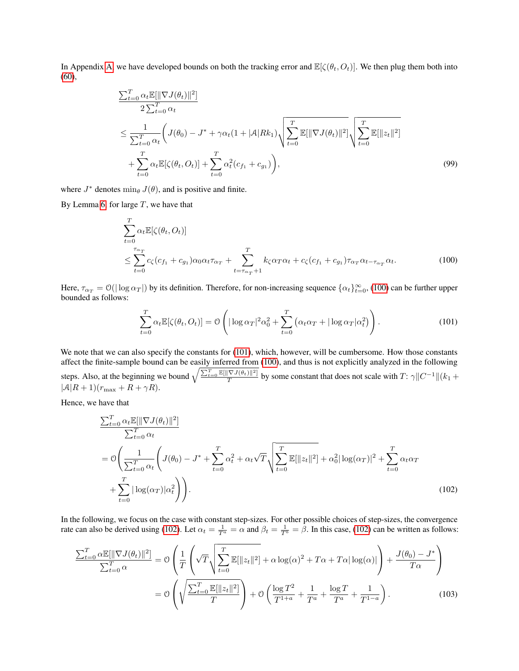In Appendix [A,](#page-0-3) we have developed bounds on both the tracking error and  $\mathbb{E}[\zeta(\theta_t, O_t)]$ . We then plug them both into [\(60\)](#page-3-1),

$$
\frac{\sum_{t=0}^{T} \alpha_t \mathbb{E}[\|\nabla J(\theta_t)\|^2]}{2\sum_{t=0}^{T} \alpha_t} \n\leq \frac{1}{\sum_{t=0}^{T} \alpha_t} \left( J(\theta_0) - J^* + \gamma \alpha_t (1 + |\mathcal{A}| R k_1) \sqrt{\sum_{t=0}^{T} \mathbb{E}[\|\nabla J(\theta_t)\|^2]} \sqrt{\sum_{t=0}^{T} \mathbb{E}[\|z_t\|^2]} \n+ \sum_{t=0}^{T} \alpha_t \mathbb{E}[\zeta(\theta_t, O_t)] + \sum_{t=0}^{T} \alpha_t^2 (c_{f_1} + c_{g_1}) \right),
$$
\n(99)

where  $J^*$  denotes  $\min_{\theta} J(\theta)$ , and is positive and finite.

By Lemma [6,](#page-4-1) for large  $T$ , we have that

$$
\sum_{t=0}^{T} \alpha_t \mathbb{E}[\zeta(\theta_t, O_t)]
$$
\n
$$
\leq \sum_{t=0}^{\tau_{\alpha_T}} c_{\zeta}(c_{f_1} + c_{g_1}) \alpha_0 \alpha_t \tau_{\alpha_T} + \sum_{t=\tau_{\alpha_T}+1}^{T} k_{\zeta} \alpha_T \alpha_t + c_{\zeta}(c_{f_1} + c_{g_1}) \tau_{\alpha_T} \alpha_{t-\tau_{\alpha_T}} \alpha_t.
$$
\n(100)

Here,  $\tau_{\alpha_T} = \mathcal{O}(|\log \alpha_T|)$  by its definition. Therefore, for non-increasing sequence  $\{\alpha_t\}_{t=0}^{\infty}$ , [\(100\)](#page-10-0) can be further upper bounded as follows:

<span id="page-10-2"></span><span id="page-10-1"></span><span id="page-10-0"></span>
$$
\sum_{t=0}^{T} \alpha_t \mathbb{E}[\zeta(\theta_t, O_t)] = \mathcal{O}\left(|\log \alpha_T|^2 \alpha_0^2 + \sum_{t=0}^{T} \left(\alpha_t \alpha_T + |\log \alpha_T| \alpha_t^2\right)\right).
$$
\n(101)

We note that we can also specify the constants for [\(101\)](#page-10-1), which, however, will be cumbersome. How those constants affect the finite-sample bound can be easily inferred from [\(100\)](#page-10-0), and thus is not explicitly analyzed in the following steps. Also, at the beginning we bound  $\sqrt{\frac{\sum_{t=0}^T \mathbb{E}[\|\nabla J(\theta_t)\|^2]}{T}}$  by some constant that does not scale with  $T: \gamma \|C^{-1}\|(k_1 +$  $|\mathcal{A}|R+1(r_{\text{max}}+R+\gamma R).$ 

Hence, we have that

$$
\frac{\sum_{t=0}^{T} \alpha_t \mathbb{E}[\|\nabla J(\theta_t)\|^2]}{\sum_{t=0}^{T} \alpha_t}
$$
\n
$$
= \mathcal{O}\left(\frac{1}{\sum_{t=0}^{T} \alpha_t} \left( J(\theta_0) - J^* + \sum_{t=0}^{T} \alpha_t^2 + \alpha_t \sqrt{T} \sqrt{\sum_{t=0}^{T} \mathbb{E}[\|z_t\|^2] + \alpha_0^2 |\log(\alpha_T)|^2 + \sum_{t=0}^{T} \alpha_t \alpha_T} + \sum_{t=0}^{T} |\log(\alpha_T)|\alpha_t^2 \right) \right).
$$
\n(102)

In the following, we focus on the case with constant step-sizes. For other possible choices of step-sizes, the convergence rate can also be derived using [\(102\)](#page-10-2). Let  $\alpha_t = \frac{1}{T^a} = \alpha$  and  $\beta_t = \frac{1}{T^b} = \beta$ . In this case, (102) can be written as follows:

<span id="page-10-3"></span>
$$
\frac{\sum_{t=0}^{T} \alpha \mathbb{E}[\|\nabla J(\theta_t)\|^2]}{\sum_{t=0}^{T} \alpha} = \mathcal{O}\left(\frac{1}{T} \left(\sqrt{T} \sqrt{\sum_{t=0}^{T} \mathbb{E}[\|z_t\|^2]} + \alpha \log(\alpha)^2 + T\alpha + T\alpha |\log(\alpha)|\right) + \frac{J(\theta_0) - J^*}{T\alpha}\right)
$$

$$
= \mathcal{O}\left(\sqrt{\frac{\sum_{t=0}^{T} \mathbb{E}[\|z_t\|^2]}{T}}\right) + \mathcal{O}\left(\frac{\log T^2}{T^{1+a}} + \frac{1}{T^a} + \frac{\log T}{T^a} + \frac{1}{T^{1-a}}\right). \tag{103}
$$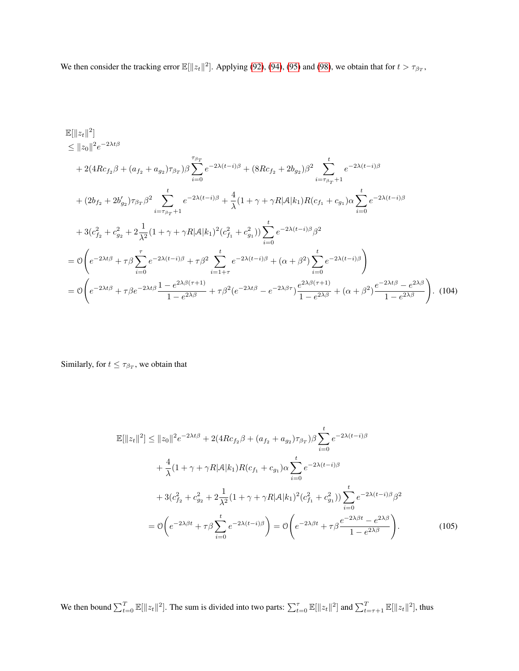We then consider the tracking error  $\mathbb{E}[\Vert z_t \Vert^2]$ . Applying [\(92\)](#page-8-2), [\(94\)](#page-9-0), [\(95\)](#page-9-1) and [\(98\)](#page-9-2), we obtain that for  $t > \tau_{\beta_T}$ ,

$$
\mathbb{E}[\|z_t\|^2] \leq \|z_0\|^2 e^{-2\lambda t \beta} \n+ 2(4Rc_{f_2}\beta + (a_{f_2} + a_{g_2})\tau_{\beta_T})\beta \sum_{i=0}^{\tau_{\beta_T}} e^{-2\lambda(t-i)\beta} + (8Rc_{f_2} + 2b_{g_2})\beta^2 \sum_{i=\tau_{\beta_T}+1}^t e^{-2\lambda(t-i)\beta} \n+ (2b_{f_2} + 2b'_{g_2})\tau_{\beta_T}\beta^2 \sum_{i=\tau_{\beta_T}+1}^t e^{-2\lambda(t-i)\beta} + \frac{4}{\lambda}(1+\gamma+\gamma R|\mathcal{A}|k_1)R(c_{f_1} + c_{g_1})\alpha \sum_{i=0}^t e^{-2\lambda(t-i)\beta} \n+ 3(c_{f_2}^2 + c_{g_2}^2 + 2\frac{1}{\lambda^2}(1+\gamma+\gamma R|\mathcal{A}|k_1)^2(c_{f_1}^2 + c_{g_1}^2)) \sum_{i=0}^t e^{-2\lambda(t-i)\beta}\beta^2 \n= \mathcal{O}\left(e^{-2\lambda t\beta} + \tau\beta \sum_{i=0}^{\tau} e^{-2\lambda(t-i)\beta} + \tau\beta^2 \sum_{i=1+\tau}^t e^{-2\lambda(t-i)\beta} + (\alpha+\beta^2) \sum_{i=0}^t e^{-2\lambda(t-i)\beta}\right) \n= \mathcal{O}\left(e^{-2\lambda t\beta} + \tau\beta e^{-2\lambda t\beta} \frac{1-e^{2\lambda\beta(\tau+1)}}{1-e^{2\lambda\beta}} + \tau\beta^2(e^{-2\lambda t\beta} - e^{-2\lambda\beta\tau}) \frac{e^{2\lambda\beta(\tau+1)}}{1-e^{2\lambda\beta}} + (\alpha+\beta^2) \frac{e^{-2\lambda t\beta} - e^{2\lambda\beta}}{1-e^{2\lambda\beta}}\right). \tag{104}
$$

Similarly, for  $t \leq \tau_{\beta_T}$ , we obtain that

$$
\mathbb{E}[\|z_t\|^2] \le \|z_0\|^2 e^{-2\lambda t \beta} + 2(4Rc_{f_2}\beta + (a_{f_2} + a_{g_2})\tau_{\beta_T})\beta \sum_{i=0}^t e^{-2\lambda(t-i)\beta} \n+ \frac{4}{\lambda}(1+\gamma+\gamma R|\mathcal{A}|k_1)R(c_{f_1}+c_{g_1})\alpha \sum_{i=0}^t e^{-2\lambda(t-i)\beta} \n+ 3(c_{f_2}^2 + c_{g_2}^2 + 2\frac{1}{\lambda^2}(1+\gamma+\gamma R|\mathcal{A}|k_1)^2(c_{f_1}^2 + c_{g_1}^2)) \sum_{i=0}^t e^{-2\lambda(t-i)\beta}\beta^2 \n= \mathcal{O}\left(e^{-2\lambda\beta t} + \tau\beta \sum_{i=0}^t e^{-2\lambda(t-i)\beta}\right) = \mathcal{O}\left(e^{-2\lambda\beta t} + \tau\beta \frac{e^{-2\lambda\beta t} - e^{2\lambda\beta}}{1 - e^{2\lambda\beta}}\right).
$$
\n(105)

We then bound  $\sum_{t=0}^{T} \mathbb{E}[\Vert z_t \Vert^2]$ . The sum is divided into two parts:  $\sum_{t=0}^{T} \mathbb{E}[\Vert z_t \Vert^2]$  and  $\sum_{t=\tau+1}^{T} \mathbb{E}[\Vert z_t \Vert^2]$ , thus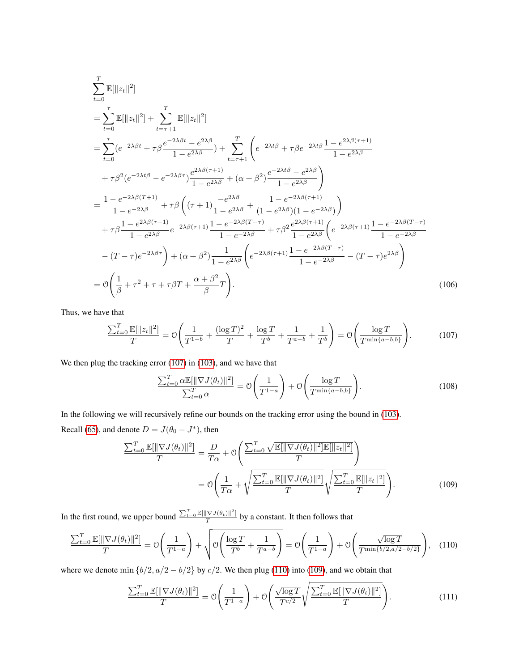$$
\sum_{t=0}^{T} \mathbb{E}[\|z_{t}\|^{2}]
$$
\n
$$
= \sum_{t=0}^{\tau} \mathbb{E}[\|z_{t}\|^{2}] + \sum_{t=\tau+1}^{T} \mathbb{E}[\|z_{t}\|^{2}]
$$
\n
$$
= \sum_{t=0}^{\tau} (e^{-2\lambda\beta t} + \tau \beta \frac{e^{-2\lambda\beta t} - e^{2\lambda\beta}}{1 - e^{2\lambda\beta}}) + \sum_{t=\tau+1}^{T} \left( e^{-2\lambda t\beta} + \tau \beta e^{-2\lambda t\beta} \frac{1 - e^{2\lambda\beta (\tau+1)}}{1 - e^{2\lambda\beta}} + \tau \beta^{2} (e^{-2\lambda t\beta} - e^{-2\lambda\beta \tau}) \frac{e^{2\lambda\beta (\tau+1)}}{1 - e^{2\lambda\beta}} + (\alpha + \beta^{2}) \frac{e^{-2\lambda t\beta} - e^{2\lambda\beta}}{1 - e^{2\lambda\beta}} \right)
$$
\n
$$
= \frac{1 - e^{-2\lambda\beta (T+1)}}{1 - e^{-2\lambda\beta}} + \tau \beta \left( (\tau + 1) \frac{-e^{2\lambda\beta}}{1 - e^{2\lambda\beta}} + \frac{1 - e^{-2\lambda\beta (\tau+1)}}{(1 - e^{2\lambda\beta})(1 - e^{-2\lambda\beta})} \right)
$$
\n
$$
+ \tau \beta \frac{1 - e^{2\lambda\beta (\tau+1)}}{1 - e^{2\lambda\beta}} e^{-2\lambda\beta (\tau+1)} \frac{1 - e^{-2\lambda\beta (T-\tau)}}{1 - e^{-2\lambda\beta}} + \tau \beta^{2} \frac{e^{2\lambda\beta (\tau+1)}}{1 - e^{2\lambda\beta}} \left( e^{-2\lambda\beta (\tau+1)} \frac{1 - e^{-2\lambda\beta (T-\tau)}}{1 - e^{-2\lambda\beta}} - (T-\tau)e^{-2\lambda\beta \tau} \right)
$$
\n
$$
- (T-\tau)e^{-2\lambda\beta\tau} \right) + (\alpha + \beta^{2}) \frac{1}{1 - e^{2\lambda\beta}} \left( e^{-2\lambda\beta (\tau+1)} \frac{1 - e^{-2\lambda\beta (T-\tau)}}{1 - e^{-2\lambda\beta}} - (T-\tau)e^{2\lambda\beta} \right)
$$
\n
$$
= \mathcal{O}\left(\frac{1}{\beta} + \
$$

Thus, we have that

$$
\frac{\sum_{t=0}^{T} \mathbb{E}[\|z_t\|^2]}{T} = \mathcal{O}\left(\frac{1}{T^{1-b}} + \frac{(\log T)^2}{T} + \frac{\log T}{T^b} + \frac{1}{T^{a-b}} + \frac{1}{T^b}\right) = \mathcal{O}\left(\frac{\log T}{T^{\min\{a-b,b\}}}\right). \tag{107}
$$

We then plug the tracking error [\(107\)](#page-12-0) in [\(103\)](#page-10-3), and we have that

<span id="page-12-2"></span><span id="page-12-0"></span>
$$
\frac{\sum_{t=0}^{T} \alpha \mathbb{E}[\|\nabla J(\theta_t)\|^2]}{\sum_{t=0}^{T} \alpha} = \mathcal{O}\left(\frac{1}{T^{1-a}}\right) + \mathcal{O}\left(\frac{\log T}{T^{\min\{a-b,b\}}}\right).
$$
\n(108)

In the following we will recursively refine our bounds on the tracking error using the bound in [\(103\)](#page-10-3). Recall [\(65\)](#page-4-2), and denote  $D = J(\theta_0 - J^*)$ , then

$$
\frac{\sum_{t=0}^{T} \mathbb{E}[\|\nabla J(\theta_t)\|^2]}{T} = \frac{D}{T\alpha} + \mathcal{O}\left(\frac{\sum_{t=0}^{T} \sqrt{\mathbb{E}[\|\nabla J(\theta_t)\|^2]\mathbb{E}[\|z_t\|^2]}}{T}\right)
$$

$$
= \mathcal{O}\left(\frac{1}{T\alpha} + \sqrt{\frac{\sum_{t=0}^{T} \mathbb{E}[\|\nabla J(\theta_t)\|^2]}{T}}\sqrt{\frac{\sum_{t=0}^{T} \mathbb{E}[\|z_t\|^2]}{T}}\right).
$$
(109)

In the first round, we upper bound  $\frac{\sum_{t=0}^{T} \mathbb{E}[\|\nabla J(\theta_t)\|^2]}{T}$  $\frac{\sqrt{V} \mathcal{F}(U_t) \|\cdot\|}{T}$  by a constant. It then follows that

$$
\frac{\sum_{t=0}^{T} \mathbb{E}[\|\nabla J(\theta_t)\|^2]}{T} = \mathcal{O}\left(\frac{1}{T^{1-a}}\right) + \sqrt{\mathcal{O}\left(\frac{\log T}{T^b} + \frac{1}{T^{a-b}}\right)} = \mathcal{O}\left(\frac{1}{T^{1-a}}\right) + \mathcal{O}\left(\frac{\sqrt{\log T}}{T^{\min\{b/2, a/2 - b/2\}}}\right),\tag{110}
$$

where we denote min  $\{b/2, a/2 - b/2\}$  by  $c/2$ . We then plug [\(110\)](#page-12-1) into [\(109\)](#page-12-2), and we obtain that

<span id="page-12-1"></span>
$$
\frac{\sum_{t=0}^{T} \mathbb{E}[\|\nabla J(\theta_t)\|^2]}{T} = \mathcal{O}\left(\frac{1}{T^{1-a}}\right) + \mathcal{O}\left(\frac{\sqrt{\log T}}{T^{c/2}}\sqrt{\frac{\sum_{t=0}^{T} \mathbb{E}[\|\nabla J(\theta_t)\|^2]}{T}}\right).
$$
(111)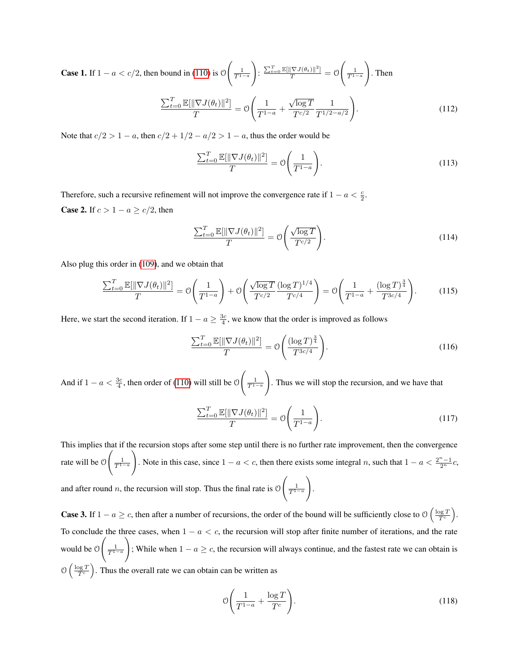**Case 1.** If  $1 - a < c/2$ , then bound in [\(110\)](#page-12-1) is 0  $\left(\frac{1}{T^{1-a}}\right)$  $\setminus$ :  $\frac{\sum_{t=0}^{T} \mathbb{E}[\|\nabla J(\theta_t)\|^2]}{T} = \mathcal{O}$  $\left(\frac{1}{T^{1-a}}\right)$  $\setminus$ . Then √

$$
\frac{\sum_{t=0}^{T} \mathbb{E}[\|\nabla J(\theta_t)\|^2]}{T} = \mathcal{O}\left(\frac{1}{T^{1-a}} + \frac{\sqrt{\log T}}{T^{c/2}} \frac{1}{T^{1/2 - a/2}}\right).
$$
\n(112)

Note that  $c/2 > 1 - a$ , then  $c/2 + 1/2 - a/2 > 1 - a$ , thus the order would be

$$
\frac{\sum_{t=0}^{T} \mathbb{E}[\|\nabla J(\theta_t)\|^2]}{T} = \mathcal{O}\left(\frac{1}{T^{1-a}}\right). \tag{113}
$$

Therefore, such a recursive refinement will not improve the convergence rate if  $1 - a < \frac{c}{2}$ . **Case 2.** If  $c > 1 - a \ge c/2$ , then

$$
\frac{\sum_{t=0}^{T} \mathbb{E}[\|\nabla J(\theta_t)\|^2]}{T} = \mathcal{O}\left(\frac{\sqrt{\log T}}{T^{c/2}}\right). \tag{114}
$$

Also plug this order in [\(109\)](#page-12-2), and we obtain that

$$
\frac{\sum_{t=0}^{T} \mathbb{E}[\|\nabla J(\theta_t)\|^2]}{T} = \mathcal{O}\left(\frac{1}{T^{1-a}}\right) + \mathcal{O}\left(\frac{\sqrt{\log T}}{T^{c/2}} \frac{(\log T)^{1/4}}{T^{c/4}}\right) = \mathcal{O}\left(\frac{1}{T^{1-a}} + \frac{(\log T)^{\frac{3}{4}}}{T^{3c/4}}\right). \tag{115}
$$

Here, we start the second iteration. If  $1 - a \ge \frac{3c}{4}$ , we know that the order is improved as follows

$$
\frac{\sum_{t=0}^{T} \mathbb{E}[\|\nabla J(\theta_t)\|^2]}{T} = \mathcal{O}\left(\frac{(\log T)^{\frac{3}{4}}}{T^{3c/4}}\right).
$$
\n(116)

And if  $1 - a < \frac{3c}{4}$ , then order of [\(110\)](#page-12-1) will still be 0  $\frac{1}{T^{1-a}}$  $\setminus$ . Thus we will stop the recursion, and we have that

$$
\frac{\sum_{t=0}^{T} \mathbb{E}[\|\nabla J(\theta_t)\|^2]}{T} = \mathcal{O}\left(\frac{1}{T^{1-a}}\right). \tag{117}
$$

This implies that if the recursion stops after some step until there is no further rate improvement, then the convergence rate will be O  $\frac{1}{T^{1-a}}$  $\setminus$ . Note in this case, since  $1 - a < c$ , then there exists some integral n, such that  $1 - a < \frac{2^n - 1}{2^n}c$ , and after round  $n$ , the recursion will stop. Thus the final rate is  $\mathcal O$  $\frac{1}{T^{1-a}}$  $\setminus$ .

**Case 3.** If  $1 - a \geq c$ , then after a number of recursions, the order of the bound will be sufficiently close to  $\mathcal{O}\left(\frac{\log T}{T_c}\right)$ . To conclude the three cases, when  $1 - a < c$ , the recursion will stop after finite number of iterations, and the rate would be O  $\frac{1}{T^{1-a}}$  $\setminus$ ; While when  $1 - a \geq c$ , the recursion will always continue, and the fastest rate we can obtain is  $\mathcal{O}\left(\frac{\log T}{T_c}\right)$ . Thus the overall rate we can obtain can be written as

$$
\mathcal{O}\left(\frac{1}{T^{1-a}} + \frac{\log T}{T^c}\right). \tag{118}
$$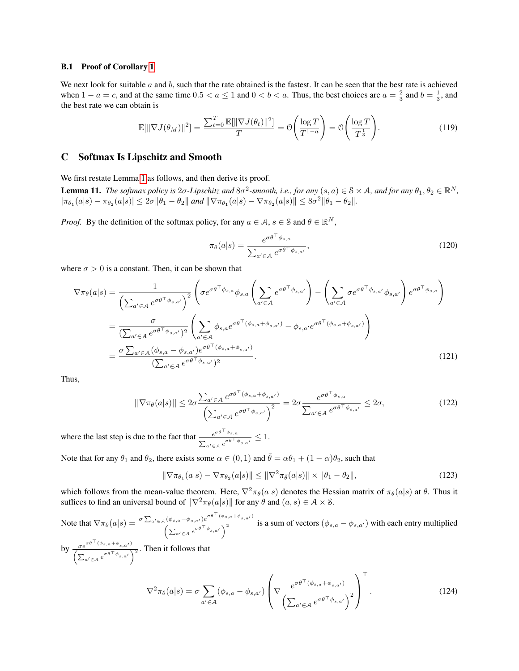#### B.1 Proof of Corollary 1

We next look for suitable  $a$  and  $b$ , such that the rate obtained is the fastest. It can be seen that the best rate is achieved when  $1 - a = c$ , and at the same time  $0.5 < a \le 1$  and  $0 < b < a$ . Thus, the best choices are  $a = \frac{2}{3}$  and  $b = \frac{1}{3}$ , and the best rate we can obtain is

$$
\mathbb{E}[\|\nabla J(\theta_M)\|^2] = \frac{\sum_{t=0}^T \mathbb{E}[\|\nabla J(\theta_t)\|^2]}{T} = \mathcal{O}\left(\frac{\log T}{T^{1-a}}\right) = \mathcal{O}\left(\frac{\log T}{T^{\frac{1}{3}}}\right).
$$
\n(119)

## C Softmax Is Lipschitz and Smooth

We first restate Lemma 1 as follows, and then derive its proof.

**Lemma 11.** The softmax policy is  $2\sigma$ -Lipschitz and  $8\sigma^2$ -smooth, i.e., for any  $(s, a) \in S \times A$ , and for any  $\theta_1, \theta_2 \in \mathbb{R}^N$ ,  $|\pi_{\theta_1}(a|s) - \pi_{\theta_2}(a|s)| \leq 2\sigma \|\theta_1 - \theta_2\|$  and  $\|\nabla \pi_{\theta_1}(a|s) - \nabla \pi_{\theta_2}(a|s)\| \leq 8\sigma^2 \|\theta_1 - \theta_2\|.$ 

*Proof.* By the definition of the softmax policy, for any  $a \in A$ ,  $s \in S$  and  $\theta \in \mathbb{R}^N$ ,

$$
\pi_{\theta}(a|s) = \frac{e^{\sigma \theta^{\top} \phi_{s,a}}}{\sum_{a' \in \mathcal{A}} e^{\sigma \theta^{\top} \phi_{s,a'}}},\tag{120}
$$

where  $\sigma > 0$  is a constant. Then, it can be shown that

$$
\nabla \pi_{\theta}(a|s) = \frac{1}{\left(\sum_{a' \in \mathcal{A}} e^{\sigma \theta^{\top} \phi_{s,a'}}\right)^2} \left(\sigma e^{\sigma \theta^{\top} \phi_{s,a}} \phi_{s,a} \left(\sum_{a' \in \mathcal{A}} e^{\sigma \theta^{\top} \phi_{s,a'}}\right) - \left(\sum_{a' \in \mathcal{A}} \sigma e^{\sigma \theta^{\top} \phi_{s,a'}} \phi_{s,a'}\right) e^{\sigma \theta^{\top} \phi_{s,a}}\right)
$$

$$
= \frac{\sigma}{\left(\sum_{a' \in \mathcal{A}} e^{\sigma \theta^{\top} \phi_{s,a'}}\right)^2} \left(\sum_{a' \in \mathcal{A}} \phi_{s,a} e^{\sigma \theta^{\top} (\phi_{s,a} + \phi_{s,a'})} - \phi_{s,a'} e^{\sigma \theta^{\top} (\phi_{s,a} + \phi_{s,a'})}\right)
$$

$$
= \frac{\sigma \sum_{a' \in \mathcal{A}} (\phi_{s,a} - \phi_{s,a'}) e^{\sigma \theta^{\top} (\phi_{s,a} + \phi_{s,a'})}}{\left(\sum_{a' \in \mathcal{A}} e^{\sigma \theta^{\top} \phi_{s,a'}}\right)^2}.
$$
(121)

Thus,

$$
||\nabla \pi_{\theta}(a|s)|| \leq 2\sigma \frac{\sum_{a' \in \mathcal{A}} e^{\sigma \theta^{\top}(\phi_{s,a} + \phi_{s,a'})}}{\left(\sum_{a' \in \mathcal{A}} e^{\sigma \theta^{\top} \phi_{s,a'}}\right)^2} = 2\sigma \frac{e^{\sigma \theta^{\top} \phi_{s,a}}}{\sum_{a' \in \mathcal{A}} e^{\sigma \theta^{\top} \phi_{s,a'}}} \leq 2\sigma,
$$
\n(122)

where the last step is due to the fact that  $\frac{e^{\sigma \theta^\top \phi_{s,a}}}{e^{\sigma \theta^\top}}$  $\frac{e^{\sigma\sigma\ \varphi_{s,a}}}{\sum_{a'\in\mathcal{A}}e^{\sigma\theta^{\top}\phi_{s,a'}}}\leq 1.$ 

Note that for any  $\theta_1$  and  $\theta_2$ , there exists some  $\alpha \in (0,1)$  and  $\bar{\theta} = \alpha \theta_1 + (1-\alpha)\theta_2$ , such that

 $a' \in \mathcal{A}$ 

$$
\|\nabla \pi_{\theta_1}(a|s) - \nabla \pi_{\theta_2}(a|s)\| \le \|\nabla^2 \pi_{\bar{\theta}}(a|s)\| \times \|\theta_1 - \theta_2\|,\tag{123}
$$

which follows from the mean-value theorem. Here,  $\nabla^2 \pi_{\theta}(a|s)$  denotes the Hessian matrix of  $\pi_{\theta}(a|s)$  at  $\theta$ . Thus it suffices to find an universal bound of  $\|\nabla^2 \pi_{\theta}(a|s)\|$  for any  $\theta$  and  $(a, s) \in \mathcal{A} \times \mathcal{S}$ .

Note that  $\nabla \pi_{\theta}(a|s) = \frac{\sigma \sum_{a' \in A} (\phi_{s,a} - \phi_{s,a'}) e^{\sigma \theta^{\top} (\phi_{s,a} + \phi_{s,a'})}}{\sigma \sum_{a' \in A} (\phi_{s,a} - \phi_{s,a'})^2}$  $\frac{(\psi_{s,a}-\psi_{s,a})e^{-\psi_{s,a}}}{(\sum_{a'\in\mathcal{A}}e^{\sigma\theta^{\top}\phi_{s,a'}})^2}$  is a sum of vectors  $(\phi_{s,a}-\phi_{s,a'})$  with each entry multiplied by  $\frac{\sigma e^{\sigma \theta^{\top}(\phi_{s,a}+\phi_{s,a'})}}{e^{\top}$  $\frac{\sigma e^{i\theta} \sqrt{\sigma} \sqrt{\sigma} \sqrt{\sigma}}{\left(\sum_{a' \in A} e^{\sigma \theta^\top \phi_{s,a'}}\right)^2}$ . Then it follows that  $\nabla^2 \pi_\theta(a|s) = \sigma \sum$  $(\phi_{s,a} - \phi_{s,a'})$  $\sqrt{ }$  $\sqrt{\nabla \frac{e^{\sigma \theta^{\top}(\phi_{s,a}+\phi_{s,a'})}}{\left(\sum e^{\sigma \theta^{\top} \phi_{s,a'}}\right)}}$  $\left(\sum_{a'\in\mathcal{A}}e^{\sigma\theta^\top\phi_{s,a'}}\right)^2$  $\setminus$  $\Big\}$ >  $(124)$